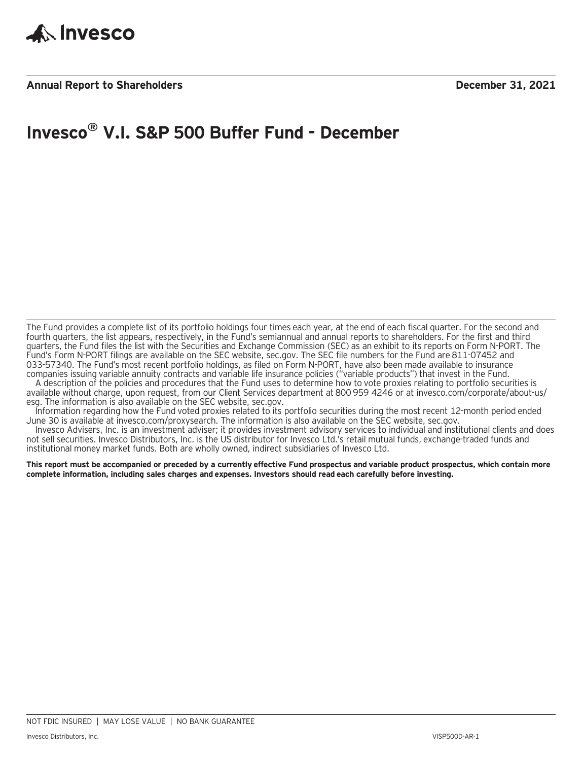

### **Annual Report to Shareholders December 31, 2021**

## **Invesco® V.I. S&P 500 Buffer Fund - December**

The Fund provides a complete list of its portfolio holdings four times each year, at the end of each fiscal quarter. For the second and fourth quarters, the list appears, respectively, in the Fund's semiannual and annual reports to shareholders. For the first and third quarters, the Fund files the list with the Securities and Exchange Commission (SEC) as an exhibit to its reports on Form N-PORT. The Fund's Form N-PORT filings are available on the SEC website, sec.gov. The SEC file numbers for the Fund are 811-07452 and 033-57340. The Fund's most recent portfolio holdings, as filed on Form N-PORT, have also been made available to insurance companies issuing variable annuity contracts and variable life insurance policies ("variable products") that invest in the Fund.

A description of the policies and procedures that the Fund uses to determine how to vote proxies relating to portfolio securities is available without charge, upon request, from our Client Services department at 800 959 4246 or at invesco.com/corporate/about-us/ esg. The information is also available on the SEC website, sec.gov.

Information regarding how the Fund voted proxies related to its portfolio securities during the most recent 12-month period ended June 30 is available at invesco.com/proxysearch. The information is also available on the SEC website, sec.gov.

Invesco Advisers, Inc. is an investment adviser; it provides investment advisory services to individual and institutional clients and does not sell securities. Invesco Distributors, Inc. is the US distributor for Invesco Ltd.'s retail mutual funds, exchange-traded funds and institutional money market funds. Both are wholly owned, indirect subsidiaries of Invesco Ltd.

**This report must be accompanied or preceded by a currently effective Fund prospectus and variable product prospectus, which contain more complete information, including sales charges and expenses. Investors should read each carefully before investing.**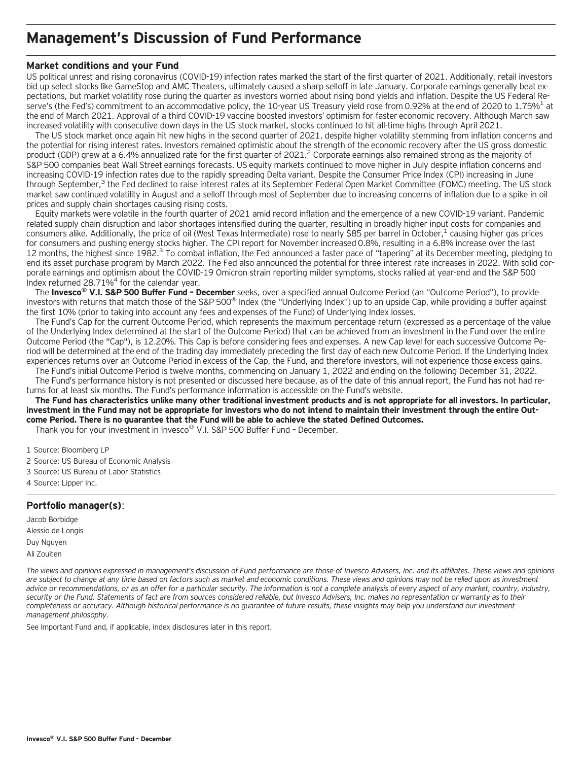### **Management's Discussion of Fund Performance**

### **Market conditions and your Fund**

US political unrest and rising coronavirus (COVID-19) infection rates marked the start of the first quarter of 2021. Additionally, retail investors bid up select stocks like GameStop and AMC Theaters, ultimately caused a sharp selloff in late January. Corporate earnings generally beat expectations, but market volatility rose during the quarter as investors worried about rising bond yields and inflation. Despite the US Federal Reserve's (the Fed's) commitment to an accommodative policy, the 10-year US Treasury yield rose from 0.92% at the end of 2020 to 1.75%<sup>1</sup> at the end of March 2021. Approval of a third COVID-19 vaccine boosted investors' optimism for faster economic recovery. Although March saw increased volatility with consecutive down days in the US stock market, stocks continued to hit all-time highs through April 2021.

The US stock market once again hit new highs in the second quarter of 2021, despite higher volatility stemming from inflation concerns and the potential for rising interest rates. Investors remained optimistic about the strength of the economic recovery after the US gross domestic product (GDP) grew at a 6.4% annualized rate for the first quarter of 2021.<sup>2</sup> Corporate earnings also remained strong as the majority of S&P 500 companies beat Wall Street earnings forecasts. US equity markets continued to move higher in July despite inflation concerns and increasing COVID-19 infection rates due to the rapidly spreading Delta variant. Despite the Consumer Price Index (CPI) increasing in June through September,<sup>3</sup> the Fed declined to raise interest rates at its September Federal Open Market Committee (FOMC) meeting. The US stock market saw continued volatility in August and a selloff through most of September due to increasing concerns of inflation due to a spike in oil prices and supply chain shortages causing rising costs.

Equity markets were volatile in the fourth quarter of 2021 amid record inflation and the emergence of a new COVID-19 variant. Pandemic related supply chain disruption and labor shortages intensified during the quarter, resulting in broadly higher input costs for companies and consumers alike. Additionally, the price of oil (West Texas Intermediate) rose to nearly \$85 per barrel in October,<sup>1</sup> causing higher gas prices for consumers and pushing energy stocks higher. The CPI report for November increased 0.8%, resulting in a 6.8% increase over the last 12 months, the highest since 1982.<sup>3</sup> To combat inflation, the Fed announced a faster pace of "tapering" at its December meeting, pledging to end its asset purchase program by March 2022. The Fed also announced the potential for three interest rate increases in 2022. With solid corporate earnings and optimism about the COVID-19 Omicron strain reporting milder symptoms, stocks rallied at year-end and the S&P 500 Index returned 28.71%4 for the calendar year.

The **Invesco® V.I. S&P 500 Buffer Fund – December** seeks, over a specified annual Outcome Period (an "Outcome Period"), to provide investors with returns that match those of the S&P 500® Index (the "Underlying Index") up to an upside Cap, while providing a buffer against the first 10% (prior to taking into account any fees and expenses of the Fund) of Underlying Index losses.

The Fund's Cap for the current Outcome Period, which represents the maximum percentage return (expressed as a percentage of the value of the Underlying Index determined at the start of the Outcome Period) that can be achieved from an investment in the Fund over the entire Outcome Period (the "Cap"), is 12.20%. This Cap is before considering fees and expenses. A new Cap level for each successive Outcome Period will be determined at the end of the trading day immediately preceding the first day of each new Outcome Period. If the Underlying Index experiences returns over an Outcome Period in excess of the Cap, the Fund, and therefore investors, will not experience those excess gains.

The Fund's initial Outcome Period is twelve months, commencing on January 1, 2022 and ending on the following December 31, 2022. The Fund's performance history is not presented or discussed here because, as of the date of this annual report, the Fund has not had returns for at least six months. The Fund's performance information is accessible on the Fund's website.

**The Fund has characteristics unlike many other traditional investment products and is not appropriate for all investors. In particular, investment in the Fund may not be appropriate for investors who do not intend to maintain their investment through the entire Outcome Period. There is no guarantee that the Fund will be able to achieve the stated Defined Outcomes.**

Thank you for your investment in Invesco® V.I. S&P 500 Buffer Fund – December.

1 Source: Bloomberg LP

- 2 Source: US Bureau of Economic Analysis
- 3 Source: US Bureau of Labor Statistics
- 4 Source: Lipper Inc.

### **Portfolio manager(s)**:

Jacob Borbidge Alessio de Longis Duy Nguyen Ali Zouiten

*The views and opinions expressed in management's discussion of Fund performance are those of Invesco Advisers, Inc. and its affiliates. These views and opinions are subject to change at any time based on factors such as market and economic conditions. These views and opinions may not be relied upon as investment advice or recommendations, or as an offer for a particular security. The information is not a complete analysis of every aspect of any market, country, industry, security or the Fund. Statements of fact are from sources considered reliable, but Invesco Advisers, Inc. makes no representation or warranty as to their completeness or accuracy. Although historical performance is no guarantee of future results, these insights may help you understand our investment management philosophy.*

See important Fund and, if applicable, index disclosures later in this report.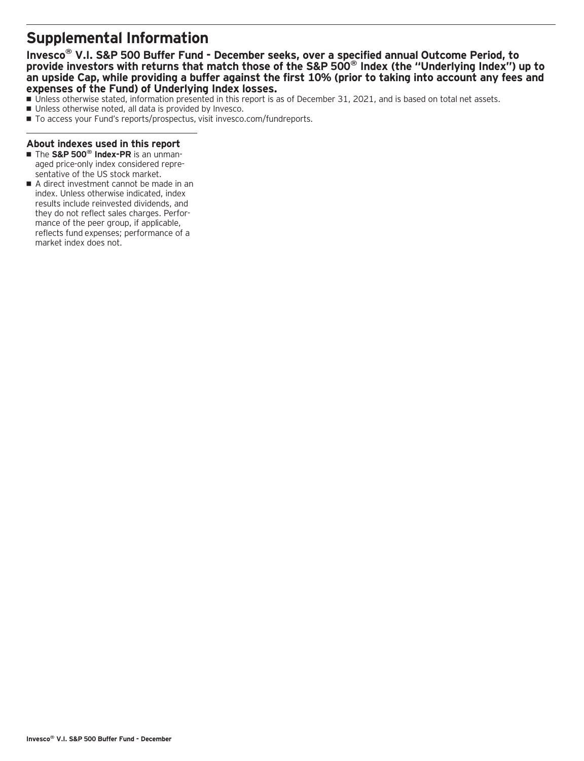## **Supplemental Information**

### **Invesco® V.I. S&P 500 Buffer Fund - December seeks, over a specified annual Outcome Period, to provide investors with returns that match those of the S&P 500® Index (the "Underlying Index") up to an upside Cap, while providing a buffer against the first 10% (prior to taking into account any fees and expenses of the Fund) of Underlying Index losses.**

- Unless otherwise stated, information presented in this report is as of December 31, 2021, and is based on total net assets.
- Unless otherwise noted, all data is provided by Invesco.
- To access your Fund's reports/prospectus, visit invesco.com/fundreports.

### **About indexes used in this report**

- The S&P 500<sup>®</sup> Index-PR is an unmanaged price-only index considered representative of the US stock market.
- A direct investment cannot be made in an index. Unless otherwise indicated, index results include reinvested dividends, and they do not reflect sales charges. Performance of the peer group, if applicable, reflects fund expenses; performance of a market index does not.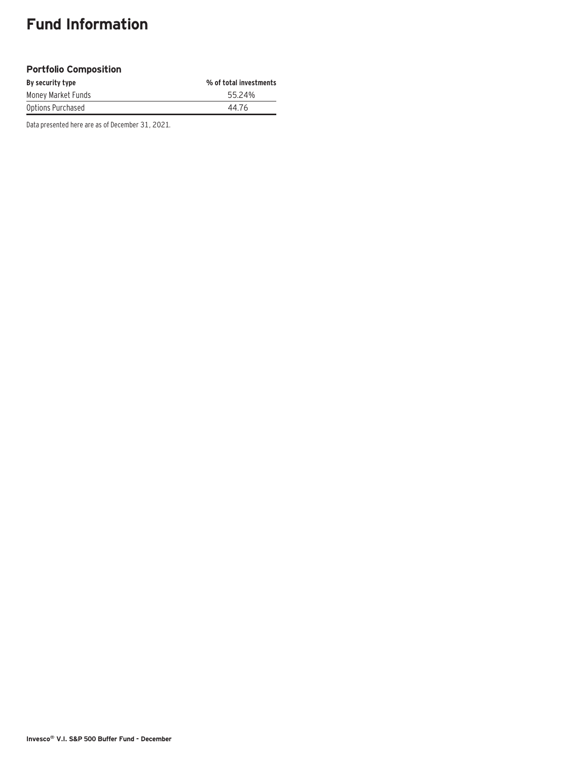# **Fund Information**

### **Portfolio Composition**

| By security type   | % of total investments |
|--------------------|------------------------|
| Money Market Funds | 55.24%                 |
| Options Purchased  | 44.76                  |

Data presented here are as of December 31, 2021.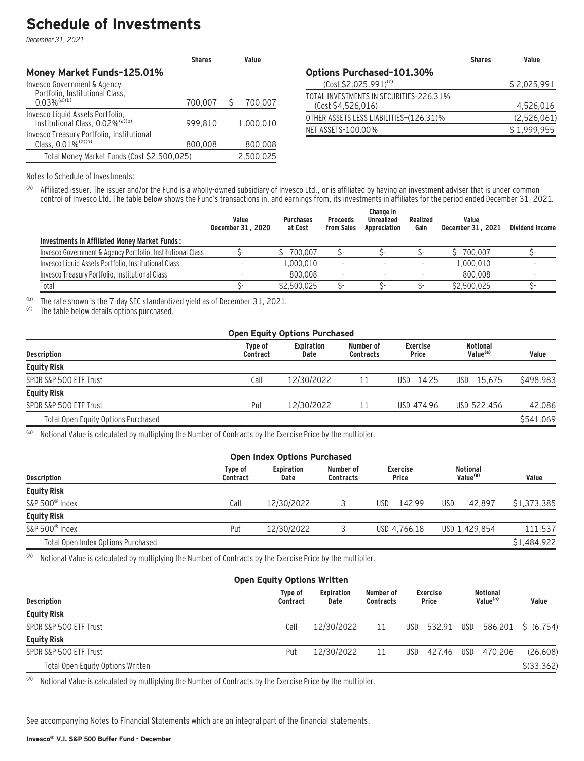## **Schedule of Investments**

December 31, 2021

|                                                                                  | <b>Shares</b> | Value     |
|----------------------------------------------------------------------------------|---------------|-----------|
| Money Market Funds-125.01%                                                       |               |           |
| Invesco Government & Agency<br>Portfolio, Institutional Class,                   |               |           |
| $0.03\%$ <sup>(a)(b)</sup>                                                       | 700,007       | 700,007   |
| Invesco Liquid Assets Portfolio,<br>Institutional Class, 0.02% <sup>(a)(b)</sup> | 999.810       | 1.000.010 |
| Invesco Treasury Portfolio, Institutional<br>Class, 0.01% <sup>(a)(b)</sup>      | 800,008       | 800,008   |
| Total Money Market Funds (Cost \$2,500,025)                                      |               | 2,500,025 |

|                                                              | <b>Shares</b> | Value       |
|--------------------------------------------------------------|---------------|-------------|
| <b>Options Purchased-101.30%</b>                             |               |             |
| (Cost \$2,025,991) <sup>(c)</sup>                            |               | \$2,025,991 |
| TOTAL INVESTMENTS IN SECURITIES-226.31%<br>(Cost S4.526.016) |               | 4,526,016   |
| OTHER ASSETS LESS LIABILITIES-(126.31)%                      |               | (2,526,061) |
| NET ASSETS-100.00%                                           |               | \$1,999,955 |

Notes to Schedule of Investments:

(a) Affiliated issuer. The issuer and/or the Fund is a wholly-owned subsidiary of Invesco Ltd., or is affiliated by having an investment adviser that is under common control of Invesco Ltd. The table below shows the Fund's transactions in, and earnings from, its investments in affiliates for the period ended December 31, 2021.

|                                                            | Value<br>December 31, 2020 | <b>Purchases</b><br>at Cost | <b>Proceeds</b><br>from Sales | Change in<br>Unrealized<br>Appreciation | Realized<br>Gain | Value<br>December 31, 2021 | <b>Dividend Income</b> |
|------------------------------------------------------------|----------------------------|-----------------------------|-------------------------------|-----------------------------------------|------------------|----------------------------|------------------------|
| Investments in Affiliated Money Market Funds:              |                            |                             |                               |                                         |                  |                            |                        |
| Invesco Government & Agency Portfolio, Institutional Class |                            | 700.007                     |                               |                                         |                  | 700.007                    |                        |
| Invesco Liquid Assets Portfolio, Institutional Class       |                            | 1.000.010                   |                               |                                         |                  | 1,000,010                  |                        |
| Invesco Treasury Portfolio, Institutional Class            |                            | 800.008                     |                               |                                         |                  | 800.008                    |                        |
| Total                                                      |                            | \$2,500.025                 |                               |                                         |                  | \$2,500.025                |                        |

(b) The rate shown is the 7-day SEC standardized yield as of December 31, 2021.

The table below details options purchased.

| <b>Open Equity Options Purchased</b> |                           |                               |                                 |                                         |           |  |  |  |  |  |
|--------------------------------------|---------------------------|-------------------------------|---------------------------------|-----------------------------------------|-----------|--|--|--|--|--|
| Type of<br>Contract                  | <b>Expiration</b><br>Date | Number of<br><b>Contracts</b> | <b>Exercise</b><br><b>Price</b> | <b>Notional</b><br>Value <sup>(a)</sup> | Value     |  |  |  |  |  |
|                                      |                           |                               |                                 |                                         |           |  |  |  |  |  |
| Call                                 | 12/30/2022                |                               | $USD$ 14.25                     | USD 15.675                              | \$498.983 |  |  |  |  |  |
|                                      |                           |                               |                                 |                                         |           |  |  |  |  |  |
| Put                                  | 12/30/2022                | -11                           | USD 474.96                      | USD 522.456                             | 42.086    |  |  |  |  |  |
|                                      |                           |                               |                                 |                                         | \$541.069 |  |  |  |  |  |
|                                      |                           |                               |                                 |                                         |           |  |  |  |  |  |

(a) Notional Value is calculated by multiplying the Number of Contracts by the Exercise Price by the multiplier.

| <b>Open Index Options Purchased</b> |                     |            |                           |               |                               |                          |                                         |       |  |
|-------------------------------------|---------------------|------------|---------------------------|---------------|-------------------------------|--------------------------|-----------------------------------------|-------|--|
| <b>Description</b>                  | Type of<br>Contract |            | <b>Expiration</b><br>Date |               | Number of<br><b>Contracts</b> | <b>Exercise</b><br>Price | <b>Notional</b><br>Value <sup>(a)</sup> | Value |  |
| <b>Equity Risk</b>                  |                     |            |                           |               |                               |                          |                                         |       |  |
| S&P 500 <sup>®</sup> Index          | Call                | 12/30/2022 |                           | 142.99<br>USD | USD<br>42.897                 | \$1,373,385              |                                         |       |  |
| <b>Equity Risk</b>                  |                     |            |                           |               |                               |                          |                                         |       |  |
| S&P 500 <sup>®</sup> Index          | Put                 | 12/30/2022 |                           | USD 4.766.18  | USD 1.429.854                 | 111.537                  |                                         |       |  |
| Total Open Index Options Purchased  |                     |            |                           |               |                               | \$1,484,922              |                                         |       |  |

(a) Notional Value is calculated by multiplying the Number of Contracts by the Exercise Price by the multiplier.

| <b>Open Equity Options Written</b> |                     |                           |                               |                                 |        |                                         |         |                    |  |  |
|------------------------------------|---------------------|---------------------------|-------------------------------|---------------------------------|--------|-----------------------------------------|---------|--------------------|--|--|
| <b>Description</b>                 | Type of<br>Contract | <b>Expiration</b><br>Date | Number of<br><b>Contracts</b> | <b>Exercise</b><br><b>Price</b> |        | <b>Notional</b><br>Value <sup>(a)</sup> |         | Value              |  |  |
| <b>Equity Risk</b>                 |                     |                           |                               |                                 |        |                                         |         |                    |  |  |
| SPDR S&P 500 ETF Trust             | Call                | 12/30/2022                | 11                            | USD                             | 532.91 | USD                                     |         | 586.201 \$ (6.754) |  |  |
| <b>Equity Risk</b>                 |                     |                           |                               |                                 |        |                                         |         |                    |  |  |
| SPDR S&P 500 ETF Trust             | Put                 | 12/30/2022                | -11                           | USD.                            | 427.46 | USD                                     | 470.206 | (26, 608)          |  |  |
| Total Open Equity Options Written  |                     |                           |                               |                                 |        |                                         |         | $$$ (33,362)       |  |  |

(a) Notional Value is calculated by multiplying the Number of Contracts by the Exercise Price by the multiplier.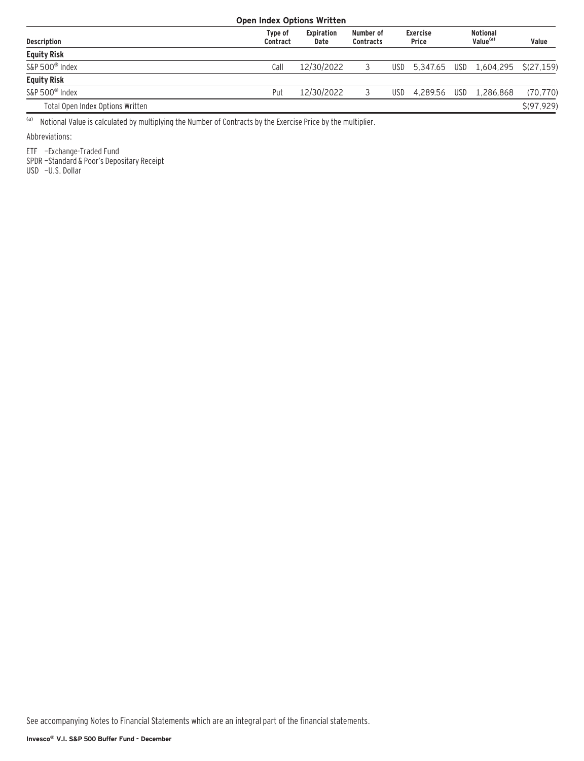| <b>Open Index Options Written</b> |                     |                           |                               |            |                                 |  |                                         |             |  |  |
|-----------------------------------|---------------------|---------------------------|-------------------------------|------------|---------------------------------|--|-----------------------------------------|-------------|--|--|
| <b>Description</b>                | Type of<br>Contract | <b>Expiration</b><br>Date | Number of<br><b>Contracts</b> |            | <b>Exercise</b><br><b>Price</b> |  | <b>Notional</b><br>Value <sup>(a)</sup> | Value       |  |  |
| <b>Equity Risk</b>                |                     |                           |                               |            |                                 |  |                                         |             |  |  |
| S&P 500 <sup>®</sup> Index        | Call                | 12/30/2022                |                               |            |                                 |  | USD 5,347.65 USD 1,604,295 \$(27,159)   |             |  |  |
| <b>Equity Risk</b>                |                     |                           |                               |            |                                 |  |                                         |             |  |  |
| $S\&P 500^{\circ}$ Index          | Put                 | 12/30/2022                |                               | <b>USD</b> | 4.289.56                        |  | USD 1.286.868                           | (70, 770)   |  |  |
| Total Open Index Options Written  |                     |                           |                               |            |                                 |  |                                         | \$(97, 929) |  |  |

(a) Notional Value is calculated by multiplying the Number of Contracts by the Exercise Price by the multiplier.

Abbreviations:

ETF —Exchange-Traded Fund

SPDR —Standard & Poor's Depositary Receipt

USD —U.S. Dollar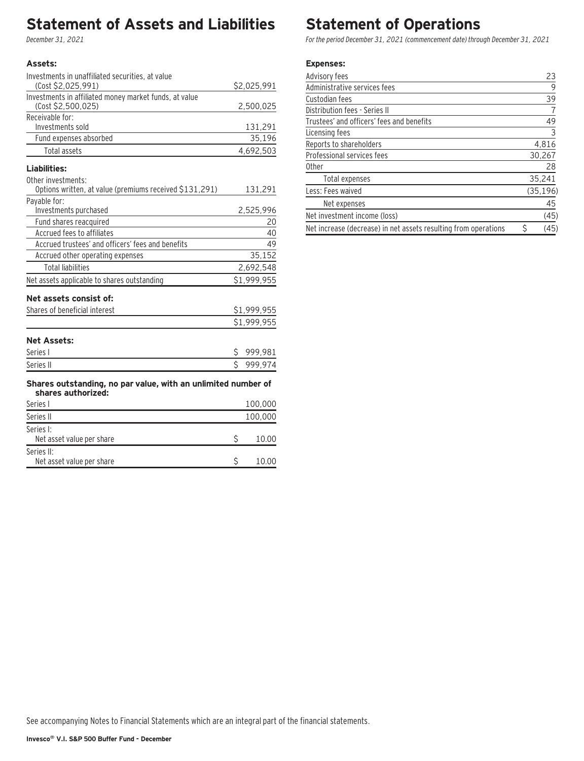## **Statement of Assets and Liabilities**

December 31, 2021

### **Assets:**

Series II:

| Investments in unaffiliated securities, at value                                    |              |             |
|-------------------------------------------------------------------------------------|--------------|-------------|
| (Cost \$2,025,991)                                                                  |              | \$2,025,991 |
| Investments in affiliated money market funds, at value                              |              |             |
| (Cost \$2,500,025)                                                                  |              | 2,500,025   |
| Receivable for:                                                                     |              |             |
| Investments sold                                                                    |              | 131,291     |
| Fund expenses absorbed                                                              |              | 35,196      |
| Total assets                                                                        |              | 4,692,503   |
| Liabilities:                                                                        |              |             |
| Other investments:                                                                  |              |             |
| Options written, at value (premiums received \$131,291)                             |              | 131,291     |
| Payable for:                                                                        |              |             |
| Investments purchased                                                               |              | 2,525,996   |
| Fund shares reacquired                                                              |              | 20          |
| Accrued fees to affiliates                                                          |              | 40          |
| Accrued trustees' and officers' fees and benefits                                   |              | 49          |
| Accrued other operating expenses                                                    |              | 35,152      |
| <b>Total liabilities</b>                                                            |              | 2,692,548   |
| Net assets applicable to shares outstanding                                         |              | \$1,999,955 |
| Net assets consist of:                                                              |              |             |
| Shares of beneficial interest                                                       |              | \$1,999,955 |
|                                                                                     |              | \$1,999,955 |
| <b>Net Assets:</b>                                                                  |              |             |
| Series I                                                                            | \$.          | 999,981     |
| Series II                                                                           | $\mathsf{S}$ | 999,974     |
|                                                                                     |              |             |
| Shares outstanding, no par value, with an unlimited number of<br>shares authorized: |              |             |
| Series I                                                                            |              | 100,000     |
| Series II                                                                           |              | 100,000     |
| Series I:                                                                           |              |             |
| Net asset value per share                                                           | \$           | 10.00       |

Net asset value per share  $\sim$  \$ 10.00

### **Statement of Operations**

For the period December 31, 2021 (commencement date) through December 31, 2021

#### **Expenses:**

| Advisory fees                                                   | 23        |
|-----------------------------------------------------------------|-----------|
| Administrative services fees                                    | 9         |
| Custodian fees                                                  | 39        |
| Distribution fees - Series II                                   |           |
| Trustees' and officers' fees and benefits                       | 49        |
| Licensing fees                                                  | 3         |
| Reports to shareholders                                         | 4,816     |
| Professional services fees                                      | 30,267    |
| <b>Other</b>                                                    | 28        |
| Total expenses                                                  | 35,241    |
| Less: Fees waived                                               | (35, 196) |
| Net expenses                                                    | 45        |
| Net investment income (loss)                                    | (45)      |
| Net increase (decrease) in net assets resulting from operations | (45)      |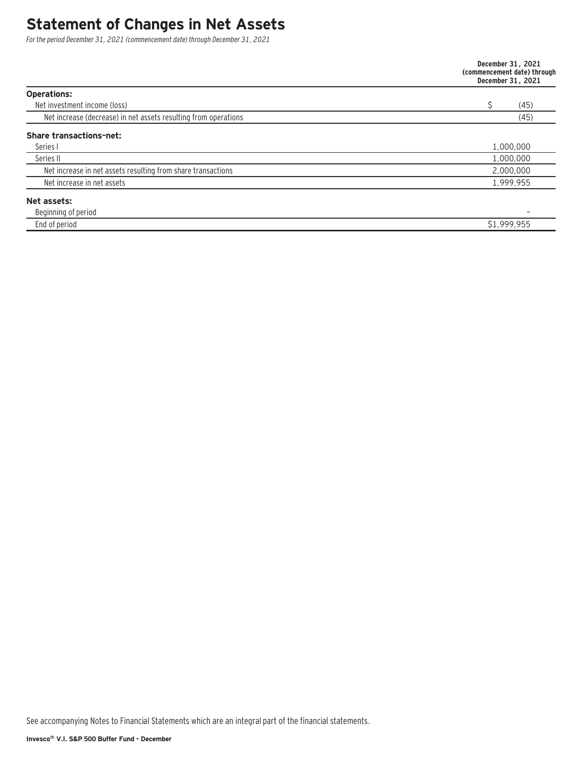### **Statement of Changes in Net Assets**

For the period December 31, 2021 (commencement date) through December 31, 2021

|                                                                 | December 31, 2021<br>(commencement date) through<br>December 31, 2021 |
|-----------------------------------------------------------------|-----------------------------------------------------------------------|
| <b>Operations:</b>                                              |                                                                       |
| Net investment income (loss)                                    | (45)                                                                  |
| Net increase (decrease) in net assets resulting from operations | (45)                                                                  |
| <b>Share transactions-net:</b>                                  |                                                                       |
| Series I                                                        | 1,000,000                                                             |
| Series II                                                       | 1,000,000                                                             |
| Net increase in net assets resulting from share transactions    | 2,000,000                                                             |
| Net increase in net assets                                      | 1,999,955                                                             |
| Net assets:                                                     |                                                                       |
| Beginning of period                                             |                                                                       |
| End of period                                                   | \$1,999,955                                                           |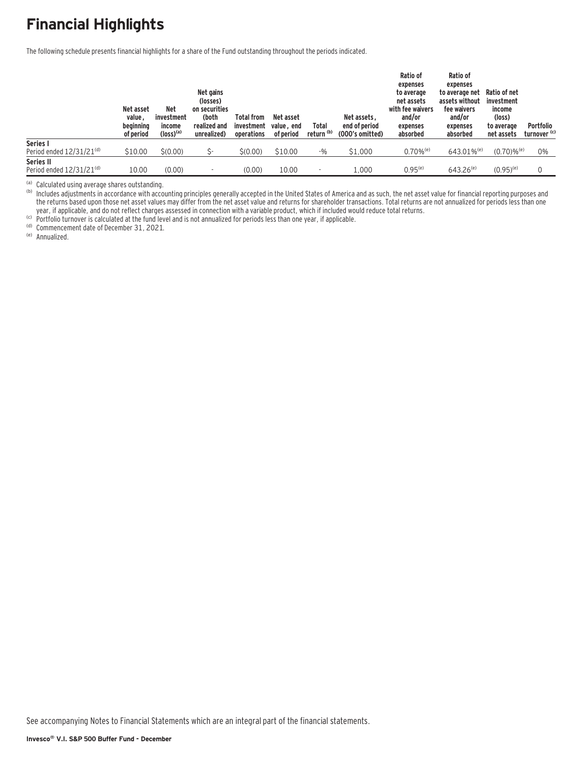# **Financial Highlights**

The following schedule presents financial highlights for a share of the Fund outstanding throughout the periods indicated.

|                               | Net asset<br>value,<br>beginning<br>of period | Net<br>investment<br>income<br>$(logs)$ <sup>(a)</sup> | Net gains<br>(losses)<br>on securities<br>(both<br>realized and<br>unrealized) | <b>Total from</b><br>investment<br>operations | Net asset<br>value, end<br>of period | Total<br>return (b) | Net assets.<br>end of period<br>(000's omitted) | Ratio of<br>expenses<br>to average<br>net assets<br>with fee waivers<br>and/or<br>expenses<br>absorbed | Ratio of<br>expenses<br>to average net<br>assets without<br>fee waivers<br>and/or<br>expenses<br>absorbed | Ratio of net<br>investment<br>income<br>(loss)<br>to average<br>net assets | Portfolio<br>turnover <sup>(c)</sup> |
|-------------------------------|-----------------------------------------------|--------------------------------------------------------|--------------------------------------------------------------------------------|-----------------------------------------------|--------------------------------------|---------------------|-------------------------------------------------|--------------------------------------------------------------------------------------------------------|-----------------------------------------------------------------------------------------------------------|----------------------------------------------------------------------------|--------------------------------------|
| Series I                      |                                               |                                                        |                                                                                |                                               |                                      |                     |                                                 |                                                                                                        |                                                                                                           |                                                                            |                                      |
| Period ended $12/31/21^{(d)}$ | \$10.00                                       | \$(0.00)                                               |                                                                                | \$(0.00)                                      | \$10.00                              | -%                  | \$1,000                                         | $0.70\%$ <sup>(e)</sup>                                                                                | $643.01\%$ <sup>(e)</sup>                                                                                 | $(0.70)$ % <sup>(e)</sup>                                                  | 0%                                   |
| Series II                     |                                               |                                                        |                                                                                |                                               |                                      |                     |                                                 |                                                                                                        |                                                                                                           |                                                                            |                                      |
| Period ended $12/31/21^{(d)}$ | 10.00                                         | (0.00)                                                 |                                                                                | (0.00)                                        | 10.00                                |                     | 1.000                                           | $0.95^{(e)}$                                                                                           | $643.26^{(e)}$                                                                                            | $(0.95)^{(e)}$                                                             |                                      |

<sup>(a)</sup> Calculated using average shares outstanding.<br><sup>(b)</sup> Includes adjustments in accordance with accounting principles generally accepted in the United States of America and as such, the net asset value for financial repor the returns based upon those net asset values may differ from the net asset value and returns for shareholder transactions. Total returns are not annualized for periods less than one year, if applicable, and do not reflect charges assessed in connection with a variable product, which if included would reduce total returns.<br><sup>(c)</sup> Portfolio turnover is calculated at the fund level and is not annualized f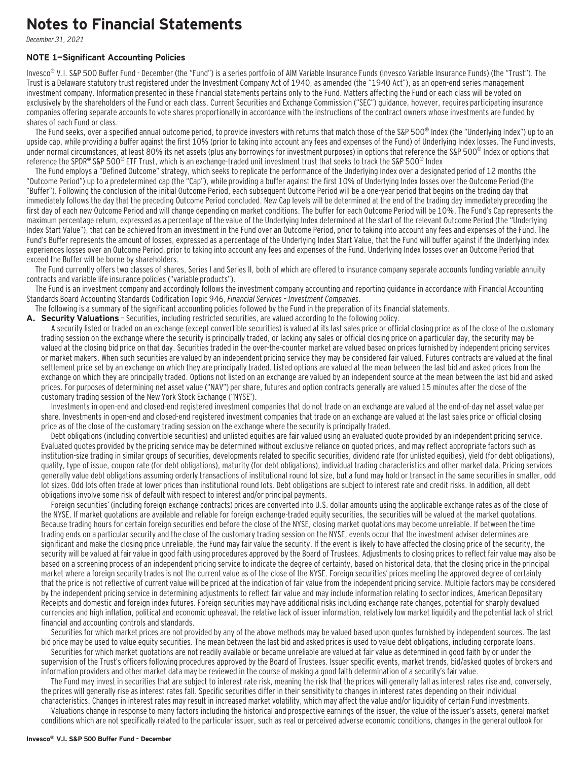### **Notes to Financial Statements**

December 31, 2021

#### **NOTE 1—Significant Accounting Policies**

Invesco<sup>®</sup> V.I. S&P 500 Buffer Fund - December (the "Fund") is a series portfolio of AIM Variable Insurance Funds (Invesco Variable Insurance Funds) (the "Trust"). The Trust is a Delaware statutory trust registered under the Investment Company Act of 1940, as amended (the "1940 Act"), as an open-end series management investment company. Information presented in these financial statements pertains only to the Fund. Matters affecting the Fund or each class will be voted on exclusively by the shareholders of the Fund or each class. Current Securities and Exchange Commission ("SEC") guidance, however, requires participating insurance companies offering separate accounts to vote shares proportionally in accordance with the instructions of the contract owners whose investments are funded by shares of each Fund or class.

The Fund seeks, over a specified annual outcome period, to provide investors with returns that match those of the S&P 500<sup>®</sup> Index (the "Underlying Index") up to an upside cap, while providing a buffer against the first 10% (prior to taking into account any fees and expenses of the Fund) of Underlying Index losses. The Fund invests, under normal circumstances, at least 80% its net assets (plus any borrowings for investment purposes) in options that reference the S&P 500<sup>®</sup> Index or options that reference the SPDR® S&P 500® ETF Trust, which is an exchange-traded unit investment trust that seeks to track the S&P 500® Index

The Fund employs a "Defined Outcome" strategy, which seeks to replicate the performance of the Underlying Index over a designated period of 12 months (the "Outcome Period") up to a predetermined cap (the "Cap"), while providing a buffer against the first 10% of Underlying Index losses over the Outcome Period (the "Buffer"). Following the conclusion of the initial Outcome Period, each subsequent Outcome Period will be a one-year period that begins on the trading day that immediately follows the day that the preceding Outcome Period concluded. New Cap levels will be determined at the end of the trading day immediately preceding the first day of each new Outcome Period and will change depending on market conditions. The buffer for each Outcome Period will be 10%. The Fund's Cap represents the maximum percentage return, expressed as a percentage of the value of the Underlying Index determined at the start of the relevant Outcome Period (the "Underlying Index Start Value"), that can be achieved from an investment in the Fund over an Outcome Period, prior to taking into account any fees and expenses of the Fund. The Fund's Buffer represents the amount of losses, expressed as a percentage of the Underlying Index Start Value, that the Fund will buffer against if the Underlying Index experiences losses over an Outcome Period, prior to taking into account any fees and expenses of the Fund. Underlying Index losses over an Outcome Period that exceed the Buffer will be borne by shareholders.

The Fund currently offers two classes of shares, Series I and Series II, both of which are offered to insurance company separate accounts funding variable annuity contracts and variable life insurance policies ("variable products").

The Fund is an investment company and accordingly follows the investment company accounting and reporting guidance in accordance with Financial Accounting Standards Board Accounting Standards Codification Topic 946, Financial Services – Investment Companies.

The following is a summary of the significant accounting policies followed by the Fund in the preparation of its financial statements.

A. Security Valuations - Securities, including restricted securities, are valued according to the following policy.

A security listed or traded on an exchange (except convertible securities) is valued at its last sales price or official closing price as of the close of the customary trading session on the exchange where the security is principally traded, or lacking any sales or official closing price on a particular day, the security may be valued at the closing bid price on that day. Securities traded in the over-the-counter market are valued based on prices furnished by independent pricing services or market makers. When such securities are valued by an independent pricing service they may be considered fair valued. Futures contracts are valued at the final settlement price set by an exchange on which they are principally traded. Listed options are valued at the mean between the last bid and asked prices from the exchange on which they are principally traded. Options not listed on an exchange are valued by an independent source at the mean between the last bid and asked prices. For purposes of determining net asset value ("NAV") per share, futures and option contracts generally are valued 15 minutes after the close of the customary trading session of the New York Stock Exchange ("NYSE").

Investments in open-end and closed-end registered investment companies that do not trade on an exchange are valued at the end-of-day net asset value per share. Investments in open-end and closed-end registered investment companies that trade on an exchange are valued at the last sales price or official closing price as of the close of the customary trading session on the exchange where the security is principally traded.

Debt obligations (including convertible securities) and unlisted equities are fair valued using an evaluated quote provided by an independent pricing service. Evaluated quotes provided by the pricing service may be determined without exclusive reliance on quoted prices, and may reflect appropriate factors such as institution-size trading in similar groups of securities, developments related to specific securities, dividend rate (for unlisted equities), yield (for debt obligations), quality, type of issue, coupon rate (for debt obligations), maturity (for debt obligations), individual trading characteristics and other market data. Pricing services generally value debt obligations assuming orderly transactions of institutional round lot size, but a fund may hold or transact in the same securities in smaller, odd lot sizes. Odd lots often trade at lower prices than institutional round lots. Debt obligations are subject to interest rate and credit risks. In addition, all debt obligations involve some risk of default with respect to interest and/or principal payments.

Foreign securities' (including foreign exchange contracts) prices are converted into U.S. dollar amounts using the applicable exchange rates as of the close of the NYSE. If market quotations are available and reliable for foreign exchange-traded equity securities, the securities will be valued at the market quotations. Because trading hours for certain foreign securities end before the close of the NYSE, closing market quotations may become unreliable. If between the time trading ends on a particular security and the close of the customary trading session on the NYSE, events occur that the investment adviser determines are significant and make the closing price unreliable, the Fund may fair value the security. If the event is likely to have affected the closing price of the security, the security will be valued at fair value in good faith using procedures approved by the Board of Trustees. Adjustments to closing prices to reflect fair value may also be based on a screening process of an independent pricing service to indicate the degree of certainty, based on historical data, that the closing price in the principal market where a foreign security trades is not the current value as of the close of the NYSE. Foreign securities' prices meeting the approved degree of certainty that the price is not reflective of current value will be priced at the indication of fair value from the independent pricing service. Multiple factors may be considered by the independent pricing service in determining adjustments to reflect fair value and may include information relating to sector indices, American Depositary Receipts and domestic and foreign index futures. Foreign securities may have additional risks including exchange rate changes, potential for sharply devalued currencies and high inflation, political and economic upheaval, the relative lack of issuer information, relatively low market liquidity and the potential lack of strict financial and accounting controls and standards.

Securities for which market prices are not provided by any of the above methods may be valued based upon quotes furnished by independent sources. The last bid price may be used to value equity securities. The mean between the last bid and asked prices is used to value debt obligations, including corporate loans.

Securities for which market quotations are not readily available or became unreliable are valued at fair value as determined in good faith by or under the supervision of the Trust's officers following procedures approved by the Board of Trustees. Issuer specific events, market trends, bid/asked quotes of brokers and information providers and other market data may be reviewed in the course of making a good faith determination of a security's fair value.

The Fund may invest in securities that are subject to interest rate risk, meaning the risk that the prices will generally fall as interest rates rise and, conversely, the prices will generally rise as interest rates fall. Specific securities differ in their sensitivity to changes in interest rates depending on their individual characteristics. Changes in interest rates may result in increased market volatility, which may affect the value and/or liquidity of certain Fund investments.

Valuations change in response to many factors including the historical and prospective earnings of the issuer, the value of the issuer's assets, general market conditions which are not specifically related to the particular issuer, such as real or perceived adverse economic conditions, changes in the general outlook for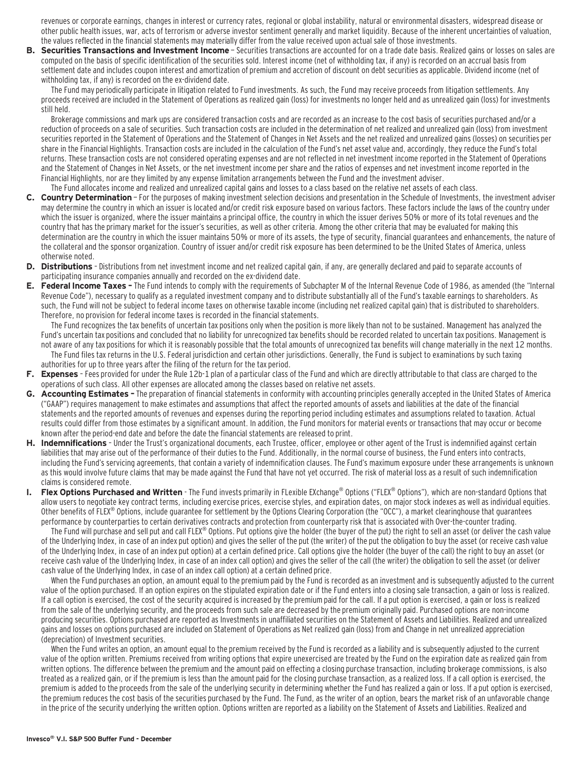revenues or corporate earnings, changes in interest or currency rates, regional or global instability, natural or environmental disasters, widespread disease or other public health issues, war, acts of terrorism or adverse investor sentiment generally and market liquidity. Because of the inherent uncertainties of valuation, the values reflected in the financial statements may materially differ from the value received upon actual sale of those investments.

**B. Securities Transactions and Investment Income** - Securities transactions are accounted for on a trade date basis. Realized gains or losses on sales are computed on the basis of specific identification of the securities sold. Interest income (net of withholding tax, if any) is recorded on an accrual basis from settlement date and includes coupon interest and amortization of premium and accretion of discount on debt securities as applicable. Dividend income (net of withholding tax, if any) is recorded on the ex-dividend date.

The Fund may periodically participate in litigation related to Fund investments. As such, the Fund may receive proceeds from litigation settlements. Any proceeds received are included in the Statement of Operations as realized gain (loss) for investments no longer held and as unrealized gain (loss) for investments still held.

Brokerage commissions and mark ups are considered transaction costs and are recorded as an increase to the cost basis of securities purchased and/or a reduction of proceeds on a sale of securities. Such transaction costs are included in the determination of net realized and unrealized gain (loss) from investment securities reported in the Statement of Operations and the Statement of Changes in Net Assets and the net realized and unrealized gains (losses) on securities per share in the Financial Highlights. Transaction costs are included in the calculation of the Fund's net asset value and, accordingly, they reduce the Fund's total returns. These transaction costs are not considered operating expenses and are not reflected in net investment income reported in the Statement of Operations and the Statement of Changes in Net Assets, or the net investment income per share and the ratios of expenses and net investment income reported in the Financial Highlights, nor are they limited by any expense limitation arrangements between the Fund and the investment adviser.

#### The Fund allocates income and realized and unrealized capital gains and losses to a class based on the relative net assets of each class.

- **C. Country Determination**  For the purposes of making investment selection decisions and presentation in the Schedule of Investments, the investment adviser may determine the country in which an issuer is located and/or credit risk exposure based on various factors. These factors include the laws of the country under which the issuer is organized, where the issuer maintains a principal office, the country in which the issuer derives 50% or more of its total revenues and the country that has the primary market for the issuer's securities, as well as other criteria. Among the other criteria that may be evaluated for making this determination are the country in which the issuer maintains 50% or more of its assets, the type of security, financial guarantees and enhancements, the nature of the collateral and the sponsor organization. Country of issuer and/or credit risk exposure has been determined to be the United States of America, unless otherwise noted.
- **D. Distributions**  Distributions from net investment income and net realized capital gain, if any, are generally declared and paid to separate accounts of participating insurance companies annually and recorded on the ex-dividend date.
- **E. Federal Income Taxes** The Fund intends to comply with the requirements of Subchapter M of the Internal Revenue Code of 1986, as amended (the "Internal Revenue Code"), necessary to qualify as a regulated investment company and to distribute substantially all of the Fund's taxable earnings to shareholders. As such, the Fund will not be subject to federal income taxes on otherwise taxable income (including net realized capital gain) that is distributed to shareholders. Therefore, no provision for federal income taxes is recorded in the financial statements.

The Fund recognizes the tax benefits of uncertain tax positions only when the position is more likely than not to be sustained. Management has analyzed the Fund's uncertain tax positions and concluded that no liability for unrecognized tax benefits should be recorded related to uncertain tax positions. Management is not aware of any tax positions for which it is reasonably possible that the total amounts of unrecognized tax benefits will change materially in the next 12 months. The Fund files tax returns in the U.S. Federal jurisdiction and certain other jurisdictions. Generally, the Fund is subject to examinations by such taxing authorities for up to three years after the filing of the return for the tax period.

- **F. Expenses**  Fees provided for under the Rule 12b-1 plan of a particular class of the Fund and which are directly attributable to that class are charged to the operations of such class. All other expenses are allocated among the classes based on relative net assets.
- **G. Accounting Estimates** The preparation of financial statements in conformity with accounting principles generally accepted in the United States of America ("GAAP") requires management to make estimates and assumptions that affect the reported amounts of assets and liabilities at the date of the financial statements and the reported amounts of revenues and expenses during the reporting period including estimates and assumptions related to taxation. Actual results could differ from those estimates by a significant amount. In addition, the Fund monitors for material events or transactions that may occur or become known after the period-end date and before the date the financial statements are released to print.
- **H. Indemnifications**  Under the Trust's organizational documents, each Trustee, officer, employee or other agent of the Trust is indemnified against certain liabilities that may arise out of the performance of their duties to the Fund. Additionally, in the normal course of business, the Fund enters into contracts, including the Fund's servicing agreements, that contain a variety of indemnification clauses. The Fund's maximum exposure under these arrangements is unknown as this would involve future claims that may be made against the Fund that have not yet occurred. The risk of material loss as a result of such indemnification claims is considered remote.
- **Flex Options Purchased and Written** The Fund invests primarily in FLexible EXchange<sup>®</sup> Options ("FLEX® Options"), which are non-standard Options that allow users to negotiate key contract terms, including exercise prices, exercise styles, and expiration dates, on major stock indexes as well as individual equities. Other benefits of FLEX® Options, include guarantee for settlement by the Options Clearing Corporation (the "OCC"), a market clearinghouse that guarantees performance by counterparties to certain derivatives contracts and protection from counterparty risk that is associated with Over-the-counter trading.

The Fund will purchase and sell put and call FLEX® Options. Put options give the holder (the buyer of the put) the right to sell an asset (or deliver the cash value of the Underlying Index, in case of an index put option) and gives the seller of the put (the writer) of the put the obligation to buy the asset (or receive cash value of the Underlying Index, in case of an index put option) at a certain defined price. Call options give the holder (the buyer of the call) the right to buy an asset (or receive cash value of the Underlying Index, in case of an index call option) and gives the seller of the call (the writer) the obligation to sell the asset (or deliver cash value of the Underlying Index, in case of an index call option) at a certain defined price.

When the Fund purchases an option, an amount equal to the premium paid by the Fund is recorded as an investment and is subsequently adjusted to the current value of the option purchased. If an option expires on the stipulated expiration date or if the Fund enters into a closing sale transaction, a gain or loss is realized. If a call option is exercised, the cost of the security acquired is increased by the premium paid for the call. If a put option is exercised, a gain or loss is realized from the sale of the underlying security, and the proceeds from such sale are decreased by the premium originally paid. Purchased options are non-income producing securities. Options purchased are reported as Investments in unaffiliated securities on the Statement of Assets and Liabilities. Realized and unrealized gains and losses on options purchased are included on Statement of Operations as Net realized gain (loss) from and Change in net unrealized appreciation (depreciation) of Investment securities.

When the Fund writes an option, an amount equal to the premium received by the Fund is recorded as a liability and is subsequently adjusted to the current value of the option written. Premiums received from writing options that expire unexercised are treated by the Fund on the expiration date as realized gain from written options. The difference between the premium and the amount paid on effecting a closing purchase transaction, including brokerage commissions, is also treated as a realized gain, or if the premium is less than the amount paid for the closing purchase transaction, as a realized loss. If a call option is exercised, the premium is added to the proceeds from the sale of the underlying security in determining whether the Fund has realized a gain or loss. If a put option is exercised, the premium reduces the cost basis of the securities purchased by the Fund. The Fund, as the writer of an option, bears the market risk of an unfavorable change in the price of the security underlying the written option. Options written are reported as a liability on the Statement of Assets and Liabilities. Realized and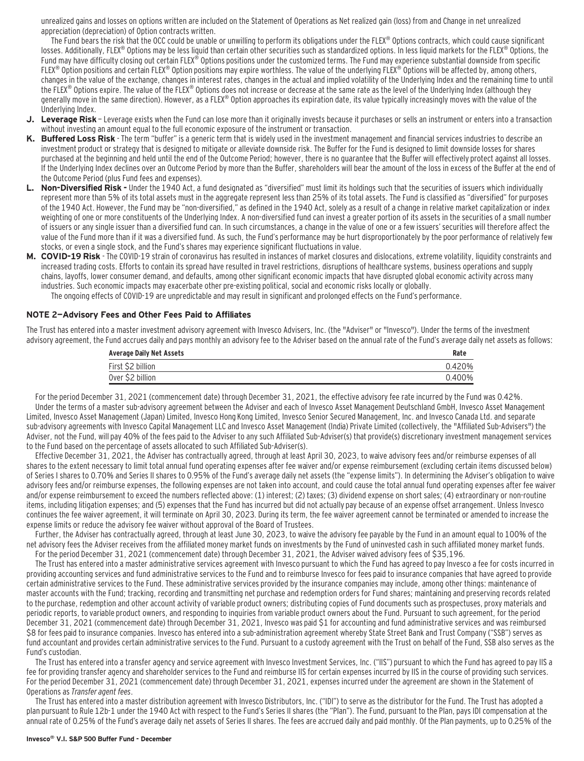unrealized gains and losses on options written are included on the Statement of Operations as Net realized gain (loss) from and Change in net unrealized appreciation (depreciation) of Option contracts written.

The Fund bears the risk that the OCC could be unable or unwilling to perform its obligations under the FLEX® Options contracts, which could cause significant losses. Additionally, FLEX® Options may be less liquid than certain other securities such as standardized options. In less liquid markets for the FLEX® Options, the Fund may have difficulty closing out certain FLEX® Options positions under the customized terms. The Fund may experience substantial downside from specific FLEX<sup>®</sup> Option positions and certain FLEX<sup>®</sup> Option positions may expire worthless. The value of the underlying FLEX<sup>®</sup> Options will be affected by, among others, changes in the value of the exchange, changes in interest rates, changes in the actual and implied volatility of the Underlying Index and the remaining time to until the FLEX® Options expire. The value of the FLEX® Options does not increase or decrease at the same rate as the level of the Underlying Index (although they generally move in the same direction). However, as a FLEX® Option approaches its expiration date, its value typically increasingly moves with the value of the Underlying Index.

- **J. Leverage Risk**  Leverage exists when the Fund can lose more than it originally invests because it purchases or sells an instrument or enters into a transaction without investing an amount equal to the full economic exposure of the instrument or transaction.
- **K. Buffered Loss Risk**  The term "buffer" is a generic term that is widely used in the investment management and financial services industries to describe an investment product or strategy that is designed to mitigate or alleviate downside risk. The Buffer for the Fund is designed to limit downside losses for shares purchased at the beginning and held until the end of the Outcome Period; however, there is no guarantee that the Buffer will effectively protect against all losses. If the Underlying Index declines over an Outcome Period by more than the Buffer, shareholders will bear the amount of the loss in excess of the Buffer at the end of the Outcome Period (plus Fund fees and expenses).
- **L. Non-Diversified Risk** Under the 1940 Act, a fund designated as "diversified" must limit its holdings such that the securities of issuers which individually represent more than 5% of its total assets must in the aggregate represent less than 25% of its total assets. The Fund is classified as "diversified" for purposes of the 1940 Act. However, the Fund may be "non-diversified," as defined in the 1940 Act, solely as a result of a change in relative market capitalization or index weighting of one or more constituents of the Underlying Index. A non-diversified fund can invest a greater portion of its assets in the securities of a small number of issuers or any single issuer than a diversified fund can. In such circumstances, a change in the value of one or a few issuers' securities will therefore affect the value of the Fund more than if it was a diversified fund. As such, the Fund's performance may be hurt disproportionately by the poor performance of relatively few stocks, or even a single stock, and the Fund's shares may experience significant fluctuations in value.
- **M. COVID-19 Risk**  The COVID-19 strain of coronavirus has resulted in instances of market closures and dislocations, extreme volatility, liquidity constraints and increased trading costs. Efforts to contain its spread have resulted in travel restrictions, disruptions of healthcare systems, business operations and supply chains, layoffs, lower consumer demand, and defaults, among other significant economic impacts that have disrupted global economic activity across many industries. Such economic impacts may exacerbate other pre-existing political, social and economic risks locally or globally. The ongoing effects of COVID-19 are unpredictable and may result in significant and prolonged effects on the Fund's performance.

#### **NOTE 2—Advisory Fees and Other Fees Paid to Affiliates**

The Trust has entered into a master investment advisory agreement with Invesco Advisers, Inc. (the "Adviser" or "Invesco"). Under the terms of the investment advisory agreement, the Fund accrues daily and pays monthly an advisory fee to the Adviser based on the annual rate of the Fund's average daily net assets as follows:

| <b>Average Daily Net Assets</b> |        |
|---------------------------------|--------|
| First \$2 billion               | 0.420% |
| Over \$2 billion                | 0.400% |

For the period December 31, 2021 (commencement date) through December 31, 2021, the effective advisory fee rate incurred by the Fund was 0.42%. Under the terms of a master sub-advisory agreement between the Adviser and each of Invesco Asset Management Deutschland GmbH, Invesco Asset Management Limited, Invesco Asset Management (Japan) Limited, Invesco Hong Kong Limited, Invesco Senior Secured Management, Inc. and Invesco Canada Ltd. and separate sub-advisory agreements with Invesco Capital Management LLC and Invesco Asset Management (India) Private Limited (collectively, the "Affiliated Sub-Advisers") the Adviser, not the Fund, will pay 40% of the fees paid to the Adviser to any such Affiliated Sub-Adviser(s) that provide(s) discretionary investment management services to the Fund based on the percentage of assets allocated to such Affiliated Sub-Adviser(s).

Effective December 31, 2021, the Adviser has contractually agreed, through at least April 30, 2023, to waive advisory fees and/or reimburse expenses of all shares to the extent necessary to limit total annual fund operating expenses after fee waiver and/or expense reimbursement (excluding certain items discussed below) of Series I shares to 0.70% and Series II shares to 0.95% of the Fund's average daily net assets (the "expense limits"). In determining the Adviser's obligation to waive advisory fees and/or reimburse expenses, the following expenses are not taken into account, and could cause the total annual fund operating expenses after fee waiver and/or expense reimbursement to exceed the numbers reflected above: (1) interest; (2) taxes; (3) dividend expense on short sales; (4) extraordinary or non-routine items, including litigation expenses; and (5) expenses that the Fund has incurred but did not actually pay because of an expense offset arrangement. Unless Invesco continues the fee waiver agreement, it will terminate on April 30, 2023. During its term, the fee waiver agreement cannot be terminated or amended to increase the expense limits or reduce the advisory fee waiver without approval of the Board of Trustees.

Further, the Adviser has contractually agreed, through at least June 30, 2023, to waive the advisory fee payable by the Fund in an amount equal to 100% of the net advisory fees the Adviser receives from the affiliated money market funds on investments by the Fund of uninvested cash in such affiliated money market funds. For the period December 31, 2021 (commencement date) through December 31, 2021, the Adviser waived advisory fees of \$35,196.

The Trust has entered into a master administrative services agreement with Invesco pursuant to which the Fund has agreed to pay Invesco a fee for costs incurred in providing accounting services and fund administrative services to the Fund and to reimburse Invesco for fees paid to insurance companies that have agreed to provide certain administrative services to the Fund. These administrative services provided by the insurance companies may include, among other things: maintenance of master accounts with the Fund; tracking, recording and transmitting net purchase and redemption orders for Fund shares; maintaining and preserving records related to the purchase, redemption and other account activity of variable product owners; distributing copies of Fund documents such as prospectuses, proxy materials and periodic reports, to variable product owners, and responding to inquiries from variable product owners about the Fund. Pursuant to such agreement, for the period December 31, 2021 (commencement date) through December 31, 2021, Invesco was paid \$1 for accounting and fund administrative services and was reimbursed \$8 for fees paid to insurance companies. Invesco has entered into a sub-administration agreement whereby State Street Bank and Trust Company ("SSB") serves as fund accountant and provides certain administrative services to the Fund. Pursuant to a custody agreement with the Trust on behalf of the Fund, SSB also serves as the Fund's custodian.

The Trust has entered into a transfer agency and service agreement with Invesco Investment Services, Inc. ("IIS") pursuant to which the Fund has agreed to pay IIS a fee for providing transfer agency and shareholder services to the Fund and reimburse IIS for certain expenses incurred by IIS in the course of providing such services. For the period December 31, 2021 (commencement date) through December 31, 2021, expenses incurred under the agreement are shown in the Statement of Operations as Transfer agent fees.

The Trust has entered into a master distribution agreement with Invesco Distributors, Inc. ("IDI") to serve as the distributor for the Fund. The Trust has adopted a plan pursuant to Rule 12b-1 under the 1940 Act with respect to the Fund's Series II shares (the "Plan"). The Fund, pursuant to the Plan, pays IDI compensation at the annual rate of 0.25% of the Fund's average daily net assets of Series II shares. The fees are accrued daily and paid monthly. Of the Plan payments, up to 0.25% of the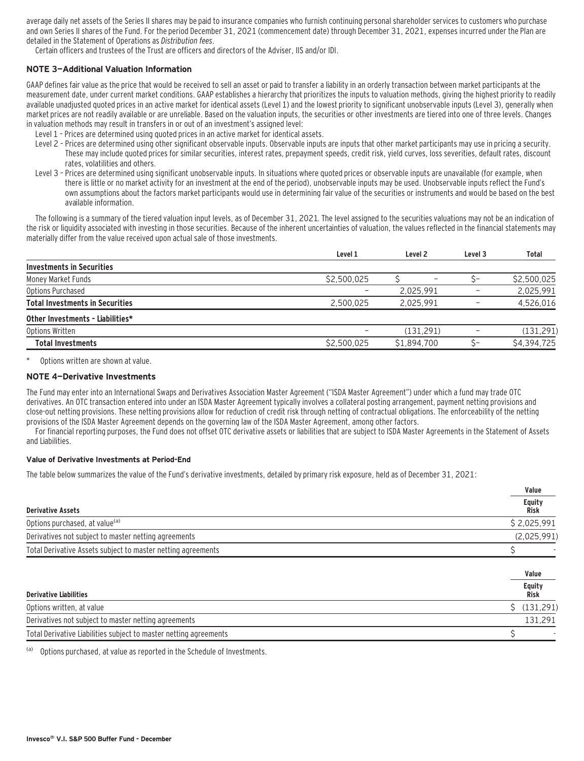average daily net assets of the Series II shares may be paid to insurance companies who furnish continuing personal shareholder services to customers who purchase and own Series II shares of the Fund. For the period December 31, 2021 (commencement date) through December 31, 2021, expenses incurred under the Plan are detailed in the Statement of Operations as Distribution fees.

Certain officers and trustees of the Trust are officers and directors of the Adviser, IIS and/or IDI.

### **NOTE 3—Additional Valuation Information**

GAAP defines fair value as the price that would be received to sell an asset or paid to transfer a liability in an orderly transaction between market participants at the measurement date, under current market conditions. GAAP establishes a hierarchy that prioritizes the inputs to valuation methods, giving the highest priority to readily available unadjusted quoted prices in an active market for identical assets (Level 1) and the lowest priority to significant unobservable inputs (Level 3), generally when market prices are not readily available or are unreliable. Based on the valuation inputs, the securities or other investments are tiered into one of three levels. Changes in valuation methods may result in transfers in or out of an investment's assigned level:

- Level 1 Prices are determined using quoted prices in an active market for identical assets.
- Level 2 Prices are determined using other significant observable inputs. Observable inputs that other market participants may use in pricing a security. These may include quoted prices for similar securities, interest rates, prepayment speeds, credit risk, yield curves, loss severities, default rates, discount rates, volatilities and others.
- Level 3 Prices are determined using significant unobservable inputs. In situations where quoted prices or observable inputs are unavailable (for example, when there is little or no market activity for an investment at the end of the period), unobservable inputs may be used. Unobservable inputs reflect the Fund's own assumptions about the factors market participants would use in determining fair value of the securities or instruments and would be based on the best available information.

The following is a summary of the tiered valuation input levels, as of December 31, 2021. The level assigned to the securities valuations may not be an indication of the risk or liquidity associated with investing in those securities. Because of the inherent uncertainties of valuation, the values reflected in the financial statements may materially differ from the value received upon actual sale of those investments.

|                                        | Level 1     | Level <sub>2</sub>       | Level 3 | Total       |
|----------------------------------------|-------------|--------------------------|---------|-------------|
| <b>Investments in Securities</b>       |             |                          |         |             |
| Money Market Funds                     | \$2,500,025 | $\overline{\phantom{0}}$ |         | \$2,500,025 |
| Options Purchased                      |             | 2.025.991                |         | 2,025,991   |
| <b>Total Investments in Securities</b> | 2.500.025   | 2.025.991                |         | 4,526,016   |
| Other Investments - Liabilities*       |             |                          |         |             |
| Options Written                        |             | (131.291)                |         | (131, 291)  |
| <b>Total Investments</b>               | \$2,500.025 | \$1.894.700              |         | \$4,394,725 |
|                                        |             |                          |         |             |

Options written are shown at value.

#### **NOTE 4—Derivative Investments**

The Fund may enter into an International Swaps and Derivatives Association Master Agreement ("ISDA Master Agreement") under which a fund may trade OTC derivatives. An OTC transaction entered into under an ISDA Master Agreement typically involves a collateral posting arrangement, payment netting provisions and close-out netting provisions. These netting provisions allow for reduction of credit risk through netting of contractual obligations. The enforceability of the netting provisions of the ISDA Master Agreement depends on the governing law of the ISDA Master Agreement, among other factors.

For financial reporting purposes, the Fund does not offset OTC derivative assets or liabilities that are subject to ISDA Master Agreements in the Statement of Assets and Liabilities.

#### **Value of Derivative Investments at Period-End**

The table below summarizes the value of the Fund's derivative investments, detailed by primary risk exposure, held as of December 31, 2021:

|                                                                   | Value                 |
|-------------------------------------------------------------------|-----------------------|
| <b>Derivative Assets</b>                                          | <b>Equity</b><br>Risk |
| Options purchased, at value <sup>(a)</sup>                        | \$2,025,991           |
| Derivatives not subject to master netting agreements              | (2,025,991)           |
| Total Derivative Assets subject to master netting agreements      |                       |
|                                                                   | Value                 |
| <b>Derivative Liabilities</b>                                     | <b>Equity</b><br>Risk |
| Options written, at value                                         | (131, 291)            |
| Derivatives not subject to master netting agreements              | 131,291               |
| Total Derivative Liabilities subject to master netting agreements |                       |

(a) Options purchased, at value as reported in the Schedule of Investments.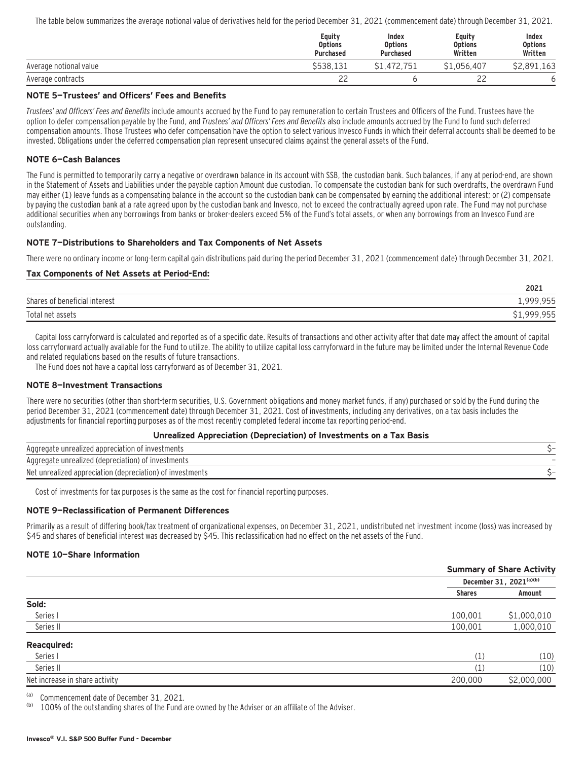The table below summarizes the average notional value of derivatives held for the period December 31, 2021 (commencement date) through December 31, 2021.

|                        | Equity<br><b>Options</b><br><b>Purchased</b> | Index<br><b>Options</b><br><b>Purchased</b> | Equity<br><b>Options</b><br>Written | Index<br><b>Options</b><br>Written |
|------------------------|----------------------------------------------|---------------------------------------------|-------------------------------------|------------------------------------|
| Average notional value | \$538.131                                    | \$1,472,751                                 | \$1.056.407                         | \$2.891.163                        |
| Average contracts      | 22                                           |                                             | $\sim$<br>__                        |                                    |

#### **NOTE 5—Trustees' and Officers' Fees and Benefits**

Trustees' and Officers' Fees and Benefits include amounts accrued by the Fund to pay remuneration to certain Trustees and Officers of the Fund. Trustees have the option to defer compensation payable by the Fund, and Trustees' and Officers' Fees and Benefits also include amounts accrued by the Fund to fund such deferred compensation amounts. Those Trustees who defer compensation have the option to select various Invesco Funds in which their deferral accounts shall be deemed to be invested. Obligations under the deferred compensation plan represent unsecured claims against the general assets of the Fund.

#### **NOTE 6—Cash Balances**

The Fund is permitted to temporarily carry a negative or overdrawn balance in its account with SSB, the custodian bank. Such balances, if any at period-end, are shown in the Statement of Assets and Liabilities under the payable caption Amount due custodian. To compensate the custodian bank for such overdrafts, the overdrawn Fund may either (1) leave funds as a compensating balance in the account so the custodian bank can be compensated by earning the additional interest; or (2) compensate by paying the custodian bank at a rate agreed upon by the custodian bank and Invesco, not to exceed the contractually agreed upon rate. The Fund may not purchase additional securities when any borrowings from banks or broker-dealers exceed 5% of the Fund's total assets, or when any borrowings from an Invesco Fund are outstanding.

#### **NOTE 7—Distributions to Shareholders and Tax Components of Net Assets**

There were no ordinary income or long-term capital gain distributions paid during the period December 31, 2021 (commencement date) through December 31, 2021.

#### **Tax Components of Net Assets at Period-End:**

|                               | 2021        |
|-------------------------------|-------------|
| Shares of beneficial interest | 1,999,955   |
| Total net assets              | \$1,999,955 |

Capital loss carryforward is calculated and reported as of a specific date. Results of transactions and other activity after that date may affect the amount of capital loss carryforward actually available for the Fund to utilize. The ability to utilize capital loss carryforward in the future may be limited under the Internal Revenue Code and related regulations based on the results of future transactions.

The Fund does not have a capital loss carryforward as of December 31, 2021.

#### **NOTE 8—Investment Transactions**

There were no securities (other than short-term securities, U.S. Government obligations and money market funds, if any) purchased or sold by the Fund during the period December 31, 2021 (commencement date) through December 31, 2021. Cost of investments, including any derivatives, on a tax basis includes the adjustments for financial reporting purposes as of the most recently completed federal income tax reporting period-end.

#### **Unrealized Appreciation (Depreciation) of Investments on a Tax Basis**

| Aggregate unrealized appreciation of investments          |  |
|-----------------------------------------------------------|--|
| Aggregate unrealized (depreciation) of investments        |  |
| Net unrealized appreciation (depreciation) of investments |  |

Cost of investments for tax purposes is the same as the cost for financial reporting purposes.

#### **NOTE 9—Reclassification of Permanent Differences**

Primarily as a result of differing book/tax treatment of organizational expenses, on December 31, 2021, undistributed net investment income (loss) was increased by \$45 and shares of beneficial interest was decreased by \$45. This reclassification had no effect on the net assets of the Fund.

### **NOTE 10—Share Information**

|                                |                   | <b>Summary of Share Activity</b> |
|--------------------------------|-------------------|----------------------------------|
|                                |                   | December 31, 2021(a)(b)          |
|                                | <b>Shares</b>     | Amount                           |
| Sold:                          |                   |                                  |
| Series I                       | 100,001           | \$1,000,010                      |
| Series II                      | 100,001           | 1,000,010                        |
| <b>Reacquired:</b>             |                   |                                  |
| Series I                       | (1)               | (10)                             |
| Series II                      | $\left( 1\right)$ | (10)                             |
| Net increase in share activity | 200,000           | \$2,000,000                      |
|                                |                   |                                  |

(a) Commencement date of December 31, 2021.

100% of the outstanding shares of the Fund are owned by the Adviser or an affiliate of the Adviser.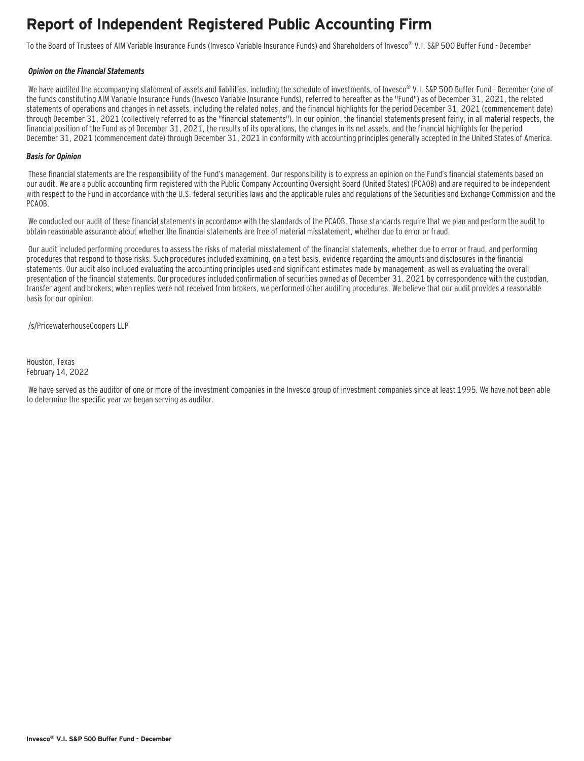## **Report of Independent Registered Public Accounting Firm**

To the Board of Trustees of AIM Variable Insurance Funds (Invesco Variable Insurance Funds) and Shareholders of Invesco® V.I. S&P 500 Buffer Fund - December

#### **Opinion on the Financial Statements**

We have audited the accompanying statement of assets and liabilities, including the schedule of investments, of Invesco® V.I. S&P 500 Buffer Fund - December (one of the funds constituting AIM Variable Insurance Funds (Invesco Variable Insurance Funds), referred to hereafter as the "Fund") as of December 31, 2021, the related statements of operations and changes in net assets, including the related notes, and the financial highlights for the period December 31, 2021 (commencement date) through December 31, 2021 (collectively referred to as the "financial statements"). In our opinion, the financial statements present fairly, in all material respects, the financial position of the Fund as of December 31, 2021, the results of its operations, the changes in its net assets, and the financial highlights for the period December 31, 2021 (commencement date) through December 31, 2021 in conformity with accounting principles generally accepted in the United States of America.

#### **Basis for Opinion**

These financial statements are the responsibility of the Fund's management. Our responsibility is to express an opinion on the Fund's financial statements based on our audit. We are a public accounting firm registered with the Public Company Accounting Oversight Board (United States) (PCAOB) and are required to be independent with respect to the Fund in accordance with the U.S. federal securities laws and the applicable rules and regulations of the Securities and Exchange Commission and the PCAOB.

 We conducted our audit of these financial statements in accordance with the standards of the PCAOB. Those standards require that we plan and perform the audit to obtain reasonable assurance about whether the financial statements are free of material misstatement, whether due to error or fraud.

 Our audit included performing procedures to assess the risks of material misstatement of the financial statements, whether due to error or fraud, and performing procedures that respond to those risks. Such procedures included examining, on a test basis, evidence regarding the amounts and disclosures in the financial statements. Our audit also included evaluating the accounting principles used and significant estimates made by management, as well as evaluating the overall presentation of the financial statements. Our procedures included confirmation of securities owned as of December 31, 2021 by correspondence with the custodian, transfer agent and brokers; when replies were not received from brokers, we performed other auditing procedures. We believe that our audit provides a reasonable basis for our opinion.

/s/PricewaterhouseCoopers LLP

Houston, Texas February 14, 2022

 We have served as the auditor of one or more of the investment companies in the Invesco group of investment companies since at least 1995. We have not been able to determine the specific year we began serving as auditor.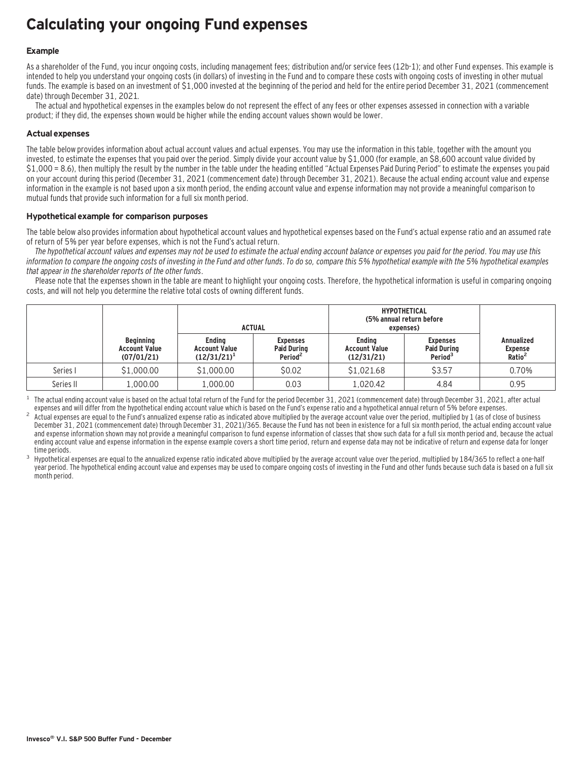## **Calculating your ongoing Fund expenses**

### **Example**

As a shareholder of the Fund, you incur ongoing costs, including management fees; distribution and/or service fees (12b-1); and other Fund expenses. This example is intended to help you understand your ongoing costs (in dollars) of investing in the Fund and to compare these costs with ongoing costs of investing in other mutual funds. The example is based on an investment of \$1,000 invested at the beginning of the period and held for the entire period December 31, 2021 (commencement date) through December 31, 2021.

The actual and hypothetical expenses in the examples below do not represent the effect of any fees or other expenses assessed in connection with a variable product; if they did, the expenses shown would be higher while the ending account values shown would be lower.

### **Actual expenses**

The table below provides information about actual account values and actual expenses. You may use the information in this table, together with the amount you invested, to estimate the expenses that you paid over the period. Simply divide your account value by \$1,000 (for example, an \$8,600 account value divided by \$1,000 = 8.6), then multiply the result by the number in the table under the heading entitled "Actual Expenses Paid During Period" to estimate the expenses you paid on your account during this period (December 31, 2021 (commencement date) through December 31, 2021). Because the actual ending account value and expense information in the example is not based upon a six month period, the ending account value and expense information may not provide a meaningful comparison to mutual funds that provide such information for a full six month period.

#### **Hypothetical example for comparison purposes**

The table below also provides information about hypothetical account values and hypothetical expenses based on the Fund's actual expense ratio and an assumed rate of return of 5% per year before expenses, which is not the Fund's actual return.

The hypothetical account values and expenses may not be used to estimate the actual ending account balance or expenses you paid for the period. You may use this information to compare the ongoing costs of investing in the Fund and other funds. To do so, compare this 5% hypothetical example with the 5% hypothetical examples that appear in the shareholder reports of the other funds.

Please note that the expenses shown in the table are meant to highlight your ongoing costs. Therefore, the hypothetical information is useful in comparing ongoing costs, and will not help you determine the relative total costs of owning different funds.

|           |                                                        | <b>ACTUAL</b>                                           |                                                              | <b>HYPOTHETICAL</b><br>(5% annual return before<br>expenses) |                                                              |                                                    |
|-----------|--------------------------------------------------------|---------------------------------------------------------|--------------------------------------------------------------|--------------------------------------------------------------|--------------------------------------------------------------|----------------------------------------------------|
|           | <b>Beginning</b><br><b>Account Value</b><br>(07/01/21) | <b>Endina</b><br><b>Account Value</b><br>$(12/31/21)^1$ | <b>Expenses</b><br><b>Paid During</b><br>Period <sup>2</sup> | <b>Endina</b><br><b>Account Value</b><br>(12/31/21)          | <b>Expenses</b><br><b>Paid During</b><br>Period <sup>3</sup> | <b>Annualized</b><br>Expense<br>Ratio <sup>2</sup> |
| Series I  | \$1,000.00                                             | \$1,000.00                                              | \$0.02                                                       | \$1,021.68                                                   | \$3.57                                                       | 0.70%                                              |
| Series II | 1,000.00                                               | 1.000.00                                                | 0.03                                                         | 1,020.42                                                     | 4.84                                                         | 0.95                                               |

The actual ending account value is based on the actual total return of the Fund for the period December 31, 2021 (commencement date) through December 31, 2021, after actual expenses and will differ from the hypothetical en

Actual expenses are equal to the Fund's annualized expense ratio as indicated above multiplied by the average account value over the period, multiplied by 1 (as of close of business December 31, 2021 (commencement date) through December 31, 2021)/365. Because the Fund has not been in existence for a full six month period, the actual ending account value and expense information shown may not provide a meaningful comparison to fund expense information of classes that show such data for a full six month period and, because the actual ending account value and expense information in the expense example covers a short time period, return and expense data may not be indicative of return and expense data for longer

time periods.<br>Hypothetical expenses are equal to the annualized expense ratio indicated above multiplied by the average account value over the period, multiplied by 184/365 to reflect a one-half year period. The hypothetical ending account value and expenses may be used to compare ongoing costs of investing in the Fund and other funds because such data is based on a full six month period.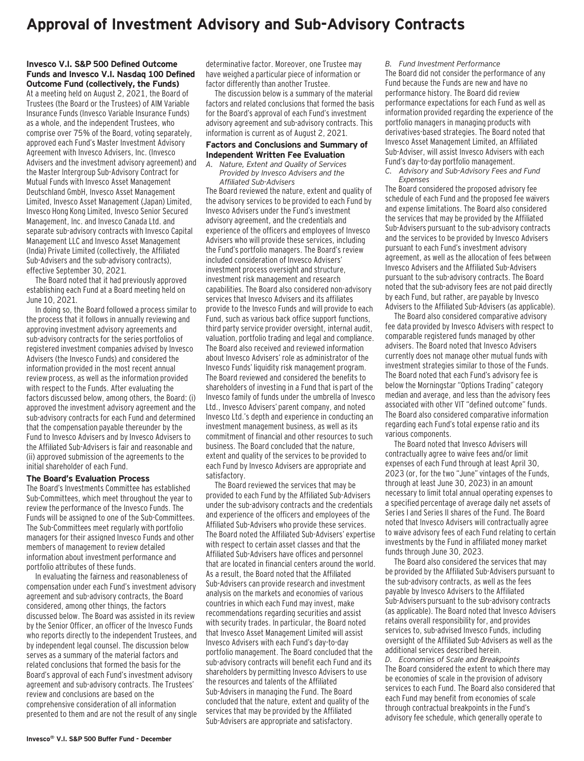### **Approval of Investment Advisory and Sub-Advisory Contracts**

#### **Invesco V.I. S&P 500 Defined Outcome Funds and Invesco V.I. Nasdaq 100 Defined Outcome Fund (collectively, the Funds)**

At a meeting held on August 2, 2021, the Board of Trustees (the Board or the Trustees) of AIM Variable Insurance Funds (Invesco Variable Insurance Funds) as a whole, and the independent Trustees, who comprise over 75% of the Board, voting separately, approved each Fund's Master Investment Advisory Agreement with Invesco Advisers, Inc. (Invesco Advisers and the investment advisory agreement) and the Master Intergroup Sub-Advisory Contract for Mutual Funds with Invesco Asset Management Deutschland GmbH, Invesco Asset Management Limited, Invesco Asset Management (Japan) Limited, Invesco Hong Kong Limited, Invesco Senior Secured Management, Inc. and Invesco Canada Ltd. and separate sub-advisory contracts with Invesco Capital Management LLC and Invesco Asset Management (India) Private Limited (collectively, the Affiliated Sub-Advisers and the sub-advisory contracts), effective September 30, 2021.

The Board noted that it had previously approved establishing each Fund at a Board meeting held on June 10, 2021.

In doing so, the Board followed a process similar to the process that it follows in annually reviewing and approving investment advisory agreements and sub-advisory contracts for the series portfolios of registered investment companies advised by Invesco Advisers (the Invesco Funds) and considered the information provided in the most recent annual review process, as well as the information provided with respect to the Funds. After evaluating the factors discussed below, among others, the Board: (i) approved the investment advisory agreement and the sub-advisory contracts for each Fund and determined that the compensation payable thereunder by the Fund to Invesco Advisers and by Invesco Advisers to the Affiliated Sub-Advisers is fair and reasonable and (ii) approved submission of the agreements to the initial shareholder of each Fund.

#### **The Board's Evaluation Process**

The Board's Investments Committee has established Sub-Committees, which meet throughout the year to review the performance of the Invesco Funds. The Funds will be assigned to one of the Sub-Committees. The Sub-Committees meet regularly with portfolio managers for their assigned Invesco Funds and other members of management to review detailed information about investment performance and portfolio attributes of these funds.

In evaluating the fairness and reasonableness of compensation under each Fund's investment advisory agreement and sub-advisory contracts, the Board considered, among other things, the factors discussed below. The Board was assisted in its review by the Senior Officer, an officer of the Invesco Funds who reports directly to the independent Trustees, and by independent legal counsel. The discussion below serves as a summary of the material factors and related conclusions that formed the basis for the Board's approval of each Fund's investment advisory agreement and sub-advisory contracts. The Trustees' review and conclusions are based on the comprehensive consideration of all information presented to them and are not the result of any single determinative factor. Moreover, one Trustee may have weighed a particular piece of information or factor differently than another Trustee.

The discussion below is a summary of the material factors and related conclusions that formed the basis for the Board's approval of each Fund's investment advisory agreement and sub-advisory contracts. This information is current as of August 2, 2021.

#### **Factors and Conclusions and Summary of Independent Written Fee Evaluation**

*A. Nature, Extent and Quality of Services Provided by Invesco Advisers and the Affiliated Sub-Advisers*

The Board reviewed the nature, extent and quality of the advisory services to be provided to each Fund by Invesco Advisers under the Fund's investment advisory agreement, and the credentials and experience of the officers and employees of Invesco Advisers who will provide these services, including the Fund's portfolio managers. The Board's review included consideration of Invesco Advisers' investment process oversight and structure, investment risk management and research capabilities. The Board also considered non-advisory services that Invesco Advisers and its affiliates provide to the Invesco Funds and will provide to each Fund, such as various back office support functions, third party service provider oversight, internal audit, valuation, portfolio trading and legal and compliance. The Board also received and reviewed information about Invesco Advisers' role as administrator of the Invesco Funds' liquidity risk management program. The Board reviewed and considered the benefits to shareholders of investing in a Fund that is part of the Invesco family of funds under the umbrella of Invesco Ltd., Invesco Advisers' parent company, and noted Invesco Ltd.'s depth and experience in conducting an investment management business, as well as its commitment of financial and other resources to such business. The Board concluded that the nature, extent and quality of the services to be provided to each Fund by Invesco Advisers are appropriate and satisfactory.

The Board reviewed the services that may be provided to each Fund by the Affiliated Sub-Advisers under the sub-advisory contracts and the credentials and experience of the officers and employees of the Affiliated Sub-Advisers who provide these services. The Board noted the Affiliated Sub-Advisers' expertise with respect to certain asset classes and that the Affiliated Sub-Advisers have offices and personnel that are located in financial centers around the world. As a result, the Board noted that the Affiliated Sub-Advisers can provide research and investment analysis on the markets and economies of various countries in which each Fund may invest, make recommendations regarding securities and assist with security trades. In particular, the Board noted that Invesco Asset Management Limited will assist Invesco Advisers with each Fund's day-to-day portfolio management. The Board concluded that the sub-advisory contracts will benefit each Fund and its shareholders by permitting Invesco Advisers to use the resources and talents of the Affiliated Sub-Advisers in managing the Fund. The Board concluded that the nature, extent and quality of the services that may be provided by the Affiliated Sub-Advisers are appropriate and satisfactory.

*B. Fund Investment Performance*

The Board did not consider the performance of any Fund because the Funds are new and have no performance history. The Board did review performance expectations for each Fund as well as information provided regarding the experience of the portfolio managers in managing products with derivatives-based strategies. The Board noted that Invesco Asset Management Limited, an Affiliated Sub-Adviser, will assist Invesco Advisers with each Fund's day-to-day portfolio management.

*C. Advisory and Sub-Advisory Fees and Fund Expenses*

The Board considered the proposed advisory fee schedule of each Fund and the proposed fee waivers and expense limitations. The Board also considered the services that may be provided by the Affiliated Sub-Advisers pursuant to the sub-advisory contracts and the services to be provided by Invesco Advisers pursuant to each Fund's investment advisory agreement, as well as the allocation of fees between Invesco Advisers and the Affiliated Sub-Advisers pursuant to the sub-advisory contracts. The Board noted that the sub-advisory fees are not paid directly by each Fund, but rather, are payable by Invesco Advisers to the Affiliated Sub-Advisers (as applicable).

The Board also considered comparative advisory fee data provided by Invesco Advisers with respect to comparable registered funds managed by other advisers. The Board noted that Invesco Advisers currently does not manage other mutual funds with investment strategies similar to those of the Funds. The Board noted that each Fund's advisory fee is below the Morningstar "Options Trading" category median and average, and less than the advisory fees associated with other VIT "defined outcome" funds. The Board also considered comparative information regarding each Fund's total expense ratio and its various components.

The Board noted that Invesco Advisers will contractually agree to waive fees and/or limit expenses of each Fund through at least April 30, 2023 (or, for the two "June" vintages of the Funds, through at least June 30, 2023) in an amount necessary to limit total annual operating expenses to a specified percentage of average daily net assets of Series I and Series II shares of the Fund. The Board noted that Invesco Advisers will contractually agree to waive advisory fees of each Fund relating to certain investments by the Fund in affiliated money market funds through June 30, 2023.

The Board also considered the services that may be provided by the Affiliated Sub-Advisers pursuant to the sub-advisory contracts, as well as the fees payable by Invesco Advisers to the Affiliated Sub-Advisers pursuant to the sub-advisory contracts (as applicable). The Board noted that Invesco Advisers retains overall responsibility for, and provides services to, sub-advised Invesco Funds, including oversight of the Affiliated Sub-Advisers as well as the additional services described herein.

*D. Economies of Scale and Breakpoints* The Board considered the extent to which there may be economies of scale in the provision of advisory services to each Fund. The Board also considered that each Fund may benefit from economies of scale through contractual breakpoints in the Fund's advisory fee schedule, which generally operate to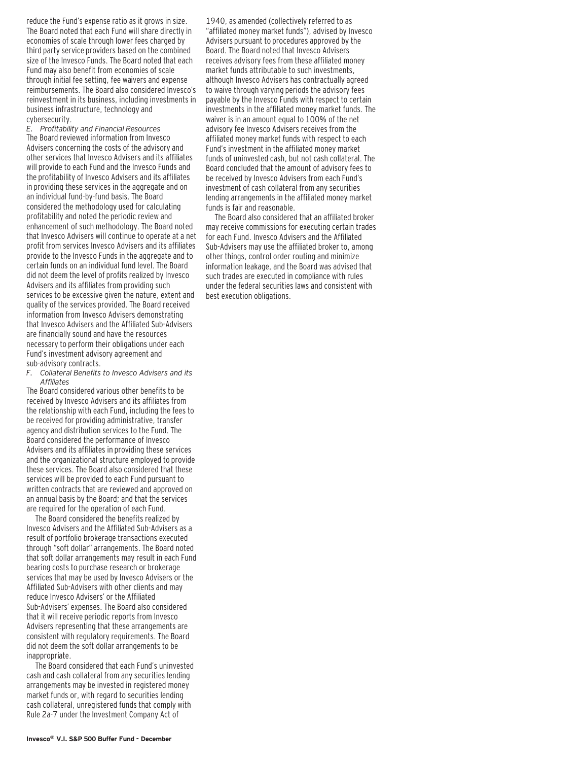reduce the Fund's expense ratio as it grows in size. The Board noted that each Fund will share directly in economies of scale through lower fees charged by third party service providers based on the combined size of the Invesco Funds. The Board noted that each Fund may also benefit from economies of scale through initial fee setting, fee waivers and expense reimbursements. The Board also considered Invesco's reinvestment in its business, including investments in business infrastructure, technology and cybersecurity.

*E. Profitability and Financial Resources* The Board reviewed information from Invesco Advisers concerning the costs of the advisory and other services that Invesco Advisers and its affiliates will provide to each Fund and the Invesco Funds and the profitability of Invesco Advisers and its affiliates in providing these services in the aggregate and on an individual fund-by-fund basis. The Board considered the methodology used for calculating profitability and noted the periodic review and enhancement of such methodology. The Board noted that Invesco Advisers will continue to operate at a net profit from services Invesco Advisers and its affiliates provide to the Invesco Funds in the aggregate and to certain funds on an individual fund level. The Board did not deem the level of profits realized by Invesco Advisers and its affiliates from providing such services to be excessive given the nature, extent and quality of the services provided. The Board received information from Invesco Advisers demonstrating that Invesco Advisers and the Affiliated Sub-Advisers are financially sound and have the resources necessary to perform their obligations under each Fund's investment advisory agreement and sub-advisory contracts.

*F. Collateral Benefits to Invesco Advisers and its Affiliates*

The Board considered various other benefits to be received by Invesco Advisers and its affiliates from the relationship with each Fund, including the fees to be received for providing administrative, transfer agency and distribution services to the Fund. The Board considered the performance of Invesco Advisers and its affiliates in providing these services and the organizational structure employed to provide these services. The Board also considered that these services will be provided to each Fund pursuant to written contracts that are reviewed and approved on an annual basis by the Board; and that the services are required for the operation of each Fund.

The Board considered the benefits realized by Invesco Advisers and the Affiliated Sub-Advisers as a result of portfolio brokerage transactions executed through "soft dollar" arrangements. The Board noted that soft dollar arrangements may result in each Fund bearing costs to purchase research or brokerage services that may be used by Invesco Advisers or the Affiliated Sub-Advisers with other clients and may reduce Invesco Advisers' or the Affiliated Sub-Advisers' expenses. The Board also considered that it will receive periodic reports from Invesco Advisers representing that these arrangements are consistent with regulatory requirements. The Board did not deem the soft dollar arrangements to be inappropriate.

The Board considered that each Fund's uninvested cash and cash collateral from any securities lending arrangements may be invested in registered money market funds or, with regard to securities lending cash collateral, unregistered funds that comply with Rule 2a-7 under the Investment Company Act of

1940, as amended (collectively referred to as "affiliated money market funds"), advised by Invesco Advisers pursuant to procedures approved by the Board. The Board noted that Invesco Advisers receives advisory fees from these affiliated money market funds attributable to such investments, although Invesco Advisers has contractually agreed to waive through varying periods the advisory fees payable by the Invesco Funds with respect to certain investments in the affiliated money market funds. The waiver is in an amount equal to 100% of the net advisory fee Invesco Advisers receives from the affiliated money market funds with respect to each Fund's investment in the affiliated money market funds of uninvested cash, but not cash collateral. The Board concluded that the amount of advisory fees to be received by Invesco Advisers from each Fund's investment of cash collateral from any securities lending arrangements in the affiliated money market funds is fair and reasonable.

The Board also considered that an affiliated broker may receive commissions for executing certain trades for each Fund. Invesco Advisers and the Affiliated Sub-Advisers may use the affiliated broker to, among other things, control order routing and minimize information leakage, and the Board was advised that such trades are executed in compliance with rules under the federal securities laws and consistent with best execution obligations.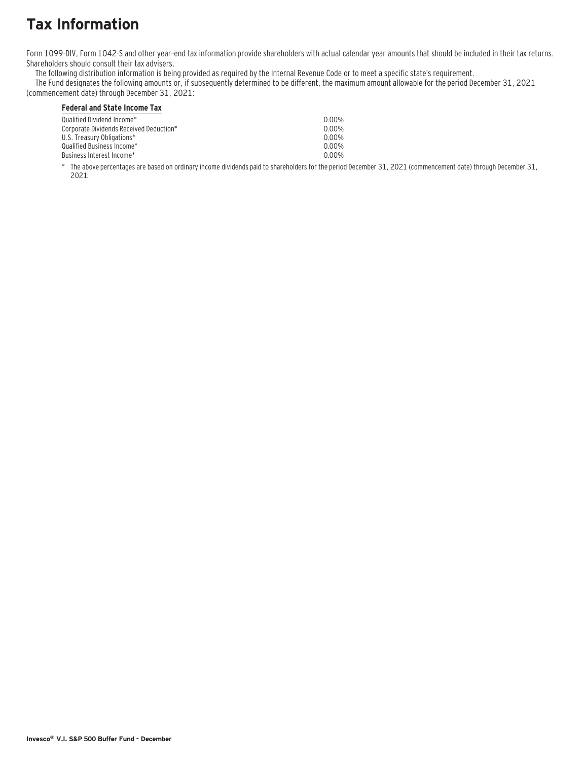# **Tax Information**

Form 1099-DIV, Form 1042-S and other year–end tax information provide shareholders with actual calendar year amounts that should be included in their tax returns. Shareholders should consult their tax advisers.

The following distribution information is being provided as required by the Internal Revenue Code or to meet a specific state's requirement.

The Fund designates the following amounts or, if subsequently determined to be different, the maximum amount allowable for the period December 31, 2021 (commencement date) through December 31, 2021:

### **Federal and State Income Tax**

| Qualified Dividend Income*              | 0.00% |
|-----------------------------------------|-------|
| Corporate Dividends Received Deduction* | 0 00% |
| U.S. Treasury Obligations*              | 0.00% |
| Qualified Business Income*_             | 0.00% |
| Business Interest Income*_              | 0 00% |
|                                         |       |

\* The above percentages are based on ordinary income dividends paid to shareholders for the period December 31, 2021 (commencement date) through December 31, 2021.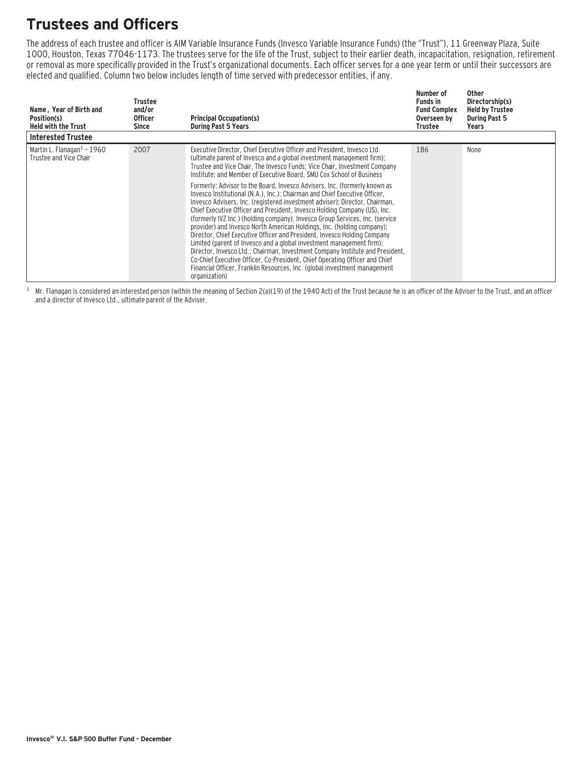# **Trustees and Officers**

The address of each trustee and officer is AIM Variable Insurance Funds (Invesco Variable Insurance Funds) (the "Trust"), 11 Greenway Plaza, Suite 1000, Houston, Texas 77046-1173. The trustees serve for the life of the Trust, subject to their earlier death, incapacitation, resignation, retirement or removal as more specifically provided in the Trust's organizational documents. Each officer serves for a one year term or until their successors are elected and qualified. Column two below includes length of time served with predecessor entities, if any.

| Name, Year of Birth and<br>Position(s)<br><b>Held with the Trust</b> | Trustee<br>and/or<br><b>Officer</b><br>Since | <b>Principal Occupation(s)</b><br><b>During Past 5 Years</b>                                                                                                                                                                                                                                                                                                                                                                                                                                                                                                                                                                                                                                                                                                                                                                                                                                                                                                                                                                                                                                                                                                                                             | Number of<br><b>Funds in</b><br><b>Fund Complex</b><br>Overseen by<br>Trustee | <b>Other</b><br>Directorship(s)<br><b>Held by Trustee</b><br><b>During Past 5</b><br>Years |
|----------------------------------------------------------------------|----------------------------------------------|----------------------------------------------------------------------------------------------------------------------------------------------------------------------------------------------------------------------------------------------------------------------------------------------------------------------------------------------------------------------------------------------------------------------------------------------------------------------------------------------------------------------------------------------------------------------------------------------------------------------------------------------------------------------------------------------------------------------------------------------------------------------------------------------------------------------------------------------------------------------------------------------------------------------------------------------------------------------------------------------------------------------------------------------------------------------------------------------------------------------------------------------------------------------------------------------------------|-------------------------------------------------------------------------------|--------------------------------------------------------------------------------------------|
| <b>Interested Trustee</b>                                            |                                              |                                                                                                                                                                                                                                                                                                                                                                                                                                                                                                                                                                                                                                                                                                                                                                                                                                                                                                                                                                                                                                                                                                                                                                                                          |                                                                               |                                                                                            |
| Martin L. Flanagan $1 - 1960$<br>Trustee and Vice Chair              | 2007                                         | Executive Director, Chief Executive Officer and President, Invesco Ltd.<br>(ultimate parent of Invesco and a global investment management firm);<br>Trustee and Vice Chair, The Invesco Funds; Vice Chair, Investment Company<br>Institute; and Member of Executive Board, SMU Cox School of Business<br>Formerly: Advisor to the Board, Invesco Advisers, Inc. (formerly known as<br>Invesco Institutional (N.A.), Inc.): Chairman and Chief Executive Officer.<br>Invesco Advisers, Inc. (registered investment adviser); Director, Chairman,<br>Chief Executive Officer and President, Invesco Holding Company (US), Inc.<br>(formerly IVZ Inc.) (holding company), Invesco Group Services, Inc. (service<br>provider) and Invesco North American Holdings, Inc. (holding company);<br>Director, Chief Executive Officer and President, Invesco Holding Company<br>Limited (parent of Invesco and a global investment management firm);<br>Director, Invesco Ltd.; Chairman, Investment Company Institute and President,<br>Co-Chief Executive Officer, Co-President, Chief Operating Officer and Chief<br>Financial Officer, Franklin Resources, Inc. (global investment management<br>organization) | 186                                                                           | None                                                                                       |

 $1$  Mr. Flanagan is considered an interested person (within the meaning of Section 2(a)(19) of the 1940 Act) of the Trust because he is an officer of the Adviser to the Trust, and an officer and a director of Invesco Ltd., ultimate parent of the Adviser.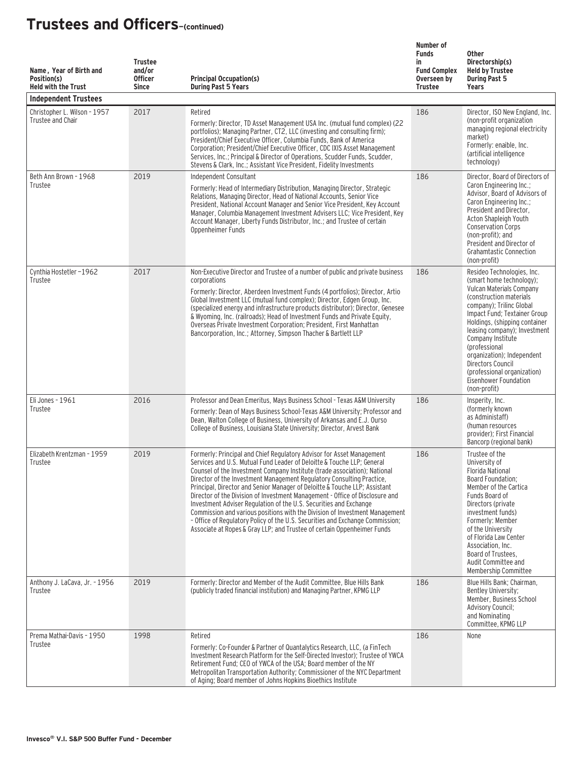| Name, Year of Birth and<br>Position(s)<br><b>Held with the Trust</b><br><b>Independent Trustees</b> | <b>Trustee</b><br>and/or<br><b>Officer</b><br><b>Since</b> | <b>Principal Occupation(s)</b><br><b>During Past 5 Years</b>                                                                                                                                                                                                                                                                                                                                                                                                                                                                                                                                                                                                                                                                                                                        | Number of<br><b>Funds</b><br>in<br><b>Fund Complex</b><br>Overseen by<br><b>Trustee</b> | <b>Other</b><br>Directorship(s)<br><b>Held by Trustee</b><br><b>During Past 5</b><br>Years                                                                                                                                                                                                                                                                                                                   |
|-----------------------------------------------------------------------------------------------------|------------------------------------------------------------|-------------------------------------------------------------------------------------------------------------------------------------------------------------------------------------------------------------------------------------------------------------------------------------------------------------------------------------------------------------------------------------------------------------------------------------------------------------------------------------------------------------------------------------------------------------------------------------------------------------------------------------------------------------------------------------------------------------------------------------------------------------------------------------|-----------------------------------------------------------------------------------------|--------------------------------------------------------------------------------------------------------------------------------------------------------------------------------------------------------------------------------------------------------------------------------------------------------------------------------------------------------------------------------------------------------------|
| Christopher L. Wilson - 1957<br>Trustee and Chair                                                   | 2017                                                       | Retired<br>Formerly: Director, TD Asset Management USA Inc. (mutual fund complex) (22<br>portfolios); Managing Partner, CT2, LLC (investing and consulting firm);<br>President/Chief Executive Officer, Columbia Funds, Bank of America<br>Corporation; President/Chief Executive Officer, CDC IXIS Asset Management<br>Services, Inc.; Principal & Director of Operations, Scudder Funds, Scudder,<br>Stevens & Clark, Inc.; Assistant Vice President, Fidelity Investments                                                                                                                                                                                                                                                                                                        | 186                                                                                     | Director, ISO New England, Inc.<br>(non-profit organization<br>managing regional electricity<br>market)<br>Formerly: enaible, Inc.<br>(artificial intelligence<br>technology)                                                                                                                                                                                                                                |
| Beth Ann Brown - 1968<br>Trustee                                                                    | 2019                                                       | Independent Consultant<br>Formerly: Head of Intermediary Distribution, Managing Director, Strategic<br>Relations, Managing Director, Head of National Accounts, Senior Vice<br>President, National Account Manager and Senior Vice President, Key Account<br>Manager, Columbia Management Investment Advisers LLC; Vice President, Key<br>Account Manager, Liberty Funds Distributor, Inc.; and Trustee of certain<br>Oppenheimer Funds                                                                                                                                                                                                                                                                                                                                             | 186                                                                                     | Director, Board of Directors of<br>Caron Engineering Inc.;<br>Advisor, Board of Advisors of<br>Caron Engineering Inc.;<br>President and Director,<br>Acton Shapleigh Youth<br><b>Conservation Corps</b><br>(non-profit); and<br>President and Director of<br><b>Grahamtastic Connection</b><br>(non-profit)                                                                                                  |
| Cynthia Hostetler-1962<br>Trustee                                                                   | 2017                                                       | Non-Executive Director and Trustee of a number of public and private business<br>corporations<br>Formerly: Director, Aberdeen Investment Funds (4 portfolios); Director, Artio<br>Global Investment LLC (mutual fund complex); Director, Edgen Group, Inc.<br>(specialized energy and infrastructure products distributor); Director, Genesee<br>& Wyoming, Inc. (railroads); Head of Investment Funds and Private Equity,<br>Overseas Private Investment Corporation; President, First Manhattan<br>Bancorporation, Inc.; Attorney, Simpson Thacher & Bartlett LLP                                                                                                                                                                                                                 | 186                                                                                     | Resideo Technologies, Inc.<br>(smart home technology);<br>Vulcan Materials Company<br>(construction materials)<br>company); Trilinc Global<br>Impact Fund; Textainer Group<br>Holdings, (shipping container<br>leasing company); Investment<br>Company Institute<br>(professional<br>organization); Independent<br>Directors Council<br>(professional organization)<br>Eisenhower Foundation<br>(non-profit) |
| Eli Jones - 1961<br>Trustee                                                                         | 2016                                                       | Professor and Dean Emeritus, Mays Business School - Texas A&M University<br>Formerly: Dean of Mays Business School-Texas A&M University; Professor and<br>Dean, Walton College of Business, University of Arkansas and E.J. Ourso<br>College of Business, Louisiana State University; Director, Arvest Bank                                                                                                                                                                                                                                                                                                                                                                                                                                                                         | 186                                                                                     | Insperity, Inc.<br>(formerly known)<br>as Administaff)<br>(human resources<br>provider): First Financial<br>Bancorp (regional bank)                                                                                                                                                                                                                                                                          |
| Elizabeth Krentzman - 1959<br>Trustee                                                               | 2019                                                       | Formerly: Principal and Chief Regulatory Advisor for Asset Management<br>Services and U.S. Mutual Fund Leader of Deloitte & Touche LLP: General<br>Counsel of the Investment Company Institute (trade association); National<br>Director of the Investment Management Regulatory Consulting Practice,<br>Principal, Director and Senior Manager of Deloitte & Touche LLP; Assistant<br>Director of the Division of Investment Management - Office of Disclosure and<br>Investment Adviser Regulation of the U.S. Securities and Exchange<br>Commission and various positions with the Division of Investment Management<br>- Office of Regulatory Policy of the U.S. Securities and Exchange Commission;<br>Associate at Ropes & Gray LLP; and Trustee of certain Oppenheimer Funds | 186                                                                                     | Trustee of the<br>University of<br><b>Florida National</b><br>Board Foundation;<br>Member of the Cartica<br>Funds Board of<br>Directors (private<br>investment funds)<br>Formerly: Member<br>of the University<br>of Florida Law Center<br>Association, Inc.<br>Board of Trustees,<br>Audit Committee and<br>Membership Committee                                                                            |
| Anthony J. LaCava, Jr. - 1956<br>Trustee                                                            | 2019                                                       | Formerly: Director and Member of the Audit Committee, Blue Hills Bank<br>(publicly traded financial institution) and Managing Partner, KPMG LLP                                                                                                                                                                                                                                                                                                                                                                                                                                                                                                                                                                                                                                     | 186                                                                                     | Blue Hills Bank; Chairman,<br>Bentley University;<br>Member, Business School<br><b>Advisory Council;</b><br>and Nominating<br>Committee, KPMG LLP                                                                                                                                                                                                                                                            |
| Prema Mathai-Davis - 1950<br>Trustee                                                                | 1998                                                       | Retired<br>Formerly: Co-Founder & Partner of Quantalytics Research, LLC, (a FinTech<br>Investment Research Platform for the Self-Directed Investor); Trustee of YWCA<br>Retirement Fund; CEO of YWCA of the USA; Board member of the NY<br>Metropolitan Transportation Authority; Commissioner of the NYC Department<br>of Aging; Board member of Johns Hopkins Bioethics Institute                                                                                                                                                                                                                                                                                                                                                                                                 | 186                                                                                     | None                                                                                                                                                                                                                                                                                                                                                                                                         |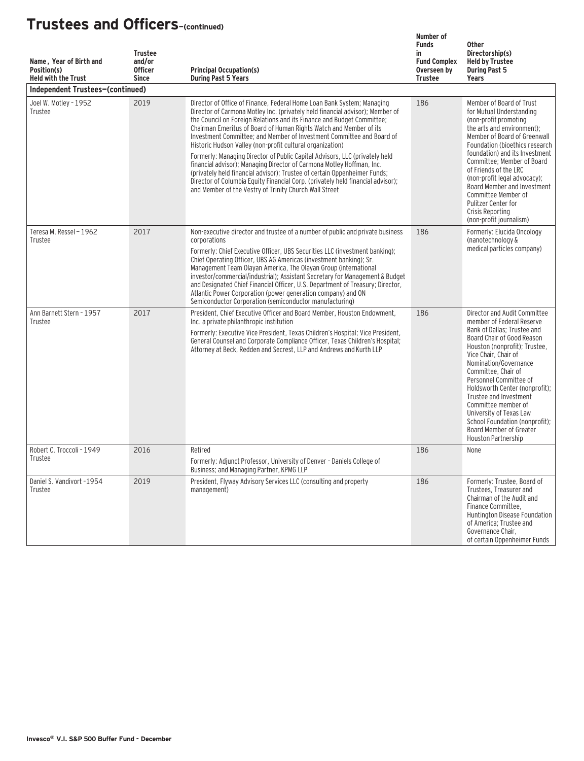| Name, Year of Birth and<br>Position(s)<br><b>Held with the Trust</b> | <b>Trustee</b><br>and/or<br><b>Officer</b><br><b>Since</b> | <b>Principal Occupation(s)</b><br><b>During Past 5 Years</b>                                                                                                                                                                                                                                                                                                                                                                                                                                                                                                                                                                                                                                                                                                                                                                    | Number of<br><b>Funds</b><br>in<br><b>Fund Complex</b><br>Overseen by<br><b>Trustee</b> | <b>Other</b><br>Directorship(s)<br><b>Held by Trustee</b><br><b>During Past 5</b><br>Years                                                                                                                                                                                                                                                                                                                                                                  |
|----------------------------------------------------------------------|------------------------------------------------------------|---------------------------------------------------------------------------------------------------------------------------------------------------------------------------------------------------------------------------------------------------------------------------------------------------------------------------------------------------------------------------------------------------------------------------------------------------------------------------------------------------------------------------------------------------------------------------------------------------------------------------------------------------------------------------------------------------------------------------------------------------------------------------------------------------------------------------------|-----------------------------------------------------------------------------------------|-------------------------------------------------------------------------------------------------------------------------------------------------------------------------------------------------------------------------------------------------------------------------------------------------------------------------------------------------------------------------------------------------------------------------------------------------------------|
| Independent Trustees-(continued)                                     |                                                            |                                                                                                                                                                                                                                                                                                                                                                                                                                                                                                                                                                                                                                                                                                                                                                                                                                 |                                                                                         |                                                                                                                                                                                                                                                                                                                                                                                                                                                             |
| Joel W. Motley - 1952<br>Trustee                                     | 2019                                                       | Director of Office of Finance, Federal Home Loan Bank System; Managing<br>Director of Carmona Motley Inc. (privately held financial advisor); Member of<br>the Council on Foreign Relations and its Finance and Budget Committee;<br>Chairman Emeritus of Board of Human Rights Watch and Member of its<br>Investment Committee; and Member of Investment Committee and Board of<br>Historic Hudson Valley (non-profit cultural organization)<br>Formerly: Managing Director of Public Capital Advisors, LLC (privately held<br>financial advisor); Managing Director of Carmona Motley Hoffman, Inc.<br>(privately held financial advisor); Trustee of certain Oppenheimer Funds;<br>Director of Columbia Equity Financial Corp. (privately held financial advisor);<br>and Member of the Vestry of Trinity Church Wall Street | 186                                                                                     | Member of Board of Trust<br>for Mutual Understanding<br>(non-profit promoting<br>the arts and environment);<br>Member of Board of Greenwall<br>Foundation (bioethics research<br>foundation) and its Investment<br>Committee; Member of Board<br>of Friends of the LRC<br>(non-profit legal advocacy);<br>Board Member and Investment<br>Committee Member of<br>Pulitzer Center for<br>Crisis Reporting<br>(non-profit journalism)                          |
| Teresa M. Ressel - 1962<br>Trustee                                   | 2017                                                       | Non-executive director and trustee of a number of public and private business<br>corporations<br>Formerly: Chief Executive Officer. UBS Securities LLC (investment banking):<br>Chief Operating Officer, UBS AG Americas (investment banking); Sr.<br>Management Team Olayan America, The Olayan Group (international<br>investor/commercial/industrial); Assistant Secretary for Management & Budget<br>and Designated Chief Financial Officer, U.S. Department of Treasury; Director,<br>Atlantic Power Corporation (power generation company) and ON<br>Semiconductor Corporation (semiconductor manufacturing)                                                                                                                                                                                                              | 186                                                                                     | Formerly: Elucida Oncology<br>(nanotechnology &<br>medical particles company)                                                                                                                                                                                                                                                                                                                                                                               |
| Ann Barnett Stern - 1957<br>Trustee                                  | 2017                                                       | President, Chief Executive Officer and Board Member, Houston Endowment.<br>Inc. a private philanthropic institution<br>Formerly: Executive Vice President, Texas Children's Hospital; Vice President,<br>General Counsel and Corporate Compliance Officer, Texas Children's Hospital;<br>Attorney at Beck, Redden and Secrest, LLP and Andrews and Kurth LLP                                                                                                                                                                                                                                                                                                                                                                                                                                                                    | 186                                                                                     | Director and Audit Committee<br>member of Federal Reserve<br>Bank of Dallas; Trustee and<br>Board Chair of Good Reason<br>Houston (nonprofit); Trustee,<br>Vice Chair, Chair of<br>Nomination/Governance<br>Committee, Chair of<br>Personnel Committee of<br>Holdsworth Center (nonprofit);<br>Trustee and Investment<br>Committee member of<br>University of Texas Law<br>School Foundation (nonprofit):<br>Board Member of Greater<br>Houston Partnership |
| Robert C. Troccoli - 1949<br>Trustee                                 | 2016                                                       | Retired<br>Formerly: Adjunct Professor, University of Denver - Daniels College of<br>Business; and Managing Partner, KPMG LLP                                                                                                                                                                                                                                                                                                                                                                                                                                                                                                                                                                                                                                                                                                   | 186                                                                                     | None                                                                                                                                                                                                                                                                                                                                                                                                                                                        |
| Daniel S. Vandivort -1954<br>Trustee                                 | 2019                                                       | President, Flyway Advisory Services LLC (consulting and property<br>management)                                                                                                                                                                                                                                                                                                                                                                                                                                                                                                                                                                                                                                                                                                                                                 | 186                                                                                     | Formerly: Trustee, Board of<br>Trustees, Treasurer and<br>Chairman of the Audit and<br>Finance Committee.<br>Huntington Disease Foundation<br>of America; Trustee and<br>Governance Chair,<br>of certain Oppenheimer Funds                                                                                                                                                                                                                                  |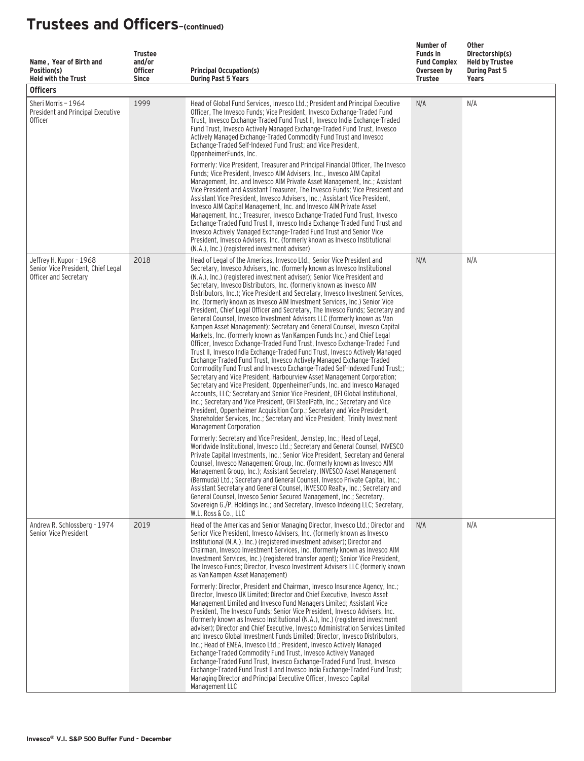| Name, Year of Birth and<br>Position(s)<br><b>Held with the Trust</b><br><b>Officers</b> | <b>Trustee</b><br>and/or<br><b>Officer</b><br><b>Since</b> | <b>Principal Occupation(s)</b><br><b>During Past 5 Years</b>                                                                                                                                                                                                                                                                                                                                                                                                                                                                                                                                                                                                                                                                                                                                                                                                                                                                                                                                                                                                                                                                                                                                                                                                                                                                                                                                                                                                                                                                                                                                                                 | Number of<br><b>Funds in</b><br><b>Fund Complex</b><br>Overseen by<br>Trustee | Other<br>Directorship(s)<br><b>Held by Trustee</b><br><b>During Past 5</b><br>Years |
|-----------------------------------------------------------------------------------------|------------------------------------------------------------|------------------------------------------------------------------------------------------------------------------------------------------------------------------------------------------------------------------------------------------------------------------------------------------------------------------------------------------------------------------------------------------------------------------------------------------------------------------------------------------------------------------------------------------------------------------------------------------------------------------------------------------------------------------------------------------------------------------------------------------------------------------------------------------------------------------------------------------------------------------------------------------------------------------------------------------------------------------------------------------------------------------------------------------------------------------------------------------------------------------------------------------------------------------------------------------------------------------------------------------------------------------------------------------------------------------------------------------------------------------------------------------------------------------------------------------------------------------------------------------------------------------------------------------------------------------------------------------------------------------------------|-------------------------------------------------------------------------------|-------------------------------------------------------------------------------------|
| Sheri Morris - 1964<br>President and Principal Executive<br><b>Officer</b>              | 1999                                                       | Head of Global Fund Services, Invesco Ltd.; President and Principal Executive<br>Officer, The Invesco Funds; Vice President, Invesco Exchange-Traded Fund<br>Trust, Invesco Exchange-Traded Fund Trust II, Invesco India Exchange-Traded<br>Fund Trust, Invesco Actively Managed Exchange-Traded Fund Trust, Invesco<br>Actively Managed Exchange-Traded Commodity Fund Trust and Invesco<br>Exchange-Traded Self-Indexed Fund Trust: and Vice President.<br>OppenheimerFunds, Inc.<br>Formerly: Vice President, Treasurer and Principal Financial Officer, The Invesco<br>Funds; Vice President, Invesco AIM Advisers, Inc., Invesco AIM Capital<br>Management, Inc. and Invesco AIM Private Asset Management, Inc.; Assistant<br>Vice President and Assistant Treasurer, The Invesco Funds; Vice President and<br>Assistant Vice President, Invesco Advisers, Inc.; Assistant Vice President,<br>Invesco AIM Capital Management, Inc. and Invesco AIM Private Asset<br>Management, Inc.; Treasurer, Invesco Exchange-Traded Fund Trust, Invesco<br>Exchange-Traded Fund Trust II, Invesco India Exchange-Traded Fund Trust and<br>Invesco Actively Managed Exchange-Traded Fund Trust and Senior Vice<br>President, Invesco Advisers, Inc. (formerly known as Invesco Institutional<br>(N.A.), Inc.) (registered investment adviser)                                                                                                                                                                                                                                                                                       | N/A                                                                           | N/A                                                                                 |
| Jeffrey H. Kupor - 1968<br>Senior Vice President, Chief Legal<br>Officer and Secretary  | 2018                                                       | Head of Legal of the Americas, Invesco Ltd.; Senior Vice President and<br>Secretary, Invesco Advisers, Inc. (formerly known as Invesco Institutional<br>(N.A.), Inc.) (registered investment adviser); Senior Vice President and<br>Secretary, Invesco Distributors, Inc. (formerly known as Invesco AIM<br>Distributors, Inc.); Vice President and Secretary, Invesco Investment Services,<br>Inc. (formerly known as Invesco AIM Investment Services, Inc.) Senior Vice<br>President, Chief Legal Officer and Secretary, The Invesco Funds; Secretary and<br>General Counsel, Invesco Investment Advisers LLC (formerly known as Van<br>Kampen Asset Management); Secretary and General Counsel, Invesco Capital<br>Markets, Inc. (formerly known as Van Kampen Funds Inc.) and Chief Legal<br>Officer, Invesco Exchange-Traded Fund Trust, Invesco Exchange-Traded Fund<br>Trust II, Invesco India Exchange-Traded Fund Trust, Invesco Actively Managed<br>Exchange-Traded Fund Trust, Invesco Actively Managed Exchange-Traded<br>Commodity Fund Trust and Invesco Exchange-Traded Self-Indexed Fund Trust;;<br>Secretary and Vice President, Harbourview Asset Management Corporation;<br>Secretary and Vice President, OppenheimerFunds, Inc. and Invesco Managed<br>Accounts, LLC; Secretary and Senior Vice President, OFI Global Institutional,<br>Inc.; Secretary and Vice President, OFI SteelPath, Inc.; Secretary and Vice<br>President, Oppenheimer Acquisition Corp.; Secretary and Vice President,<br>Shareholder Services, Inc.; Secretary and Vice President, Trinity Investment<br>Management Corporation | N/A                                                                           | N/A                                                                                 |
|                                                                                         |                                                            | Formerly: Secretary and Vice President, Jemstep, Inc.; Head of Legal,<br>Worldwide Institutional, Invesco Ltd.; Secretary and General Counsel, INVESCO<br>Private Capital Investments, Inc.; Senior Vice President, Secretary and General<br>Counsel, Invesco Management Group, Inc. (formerly known as Invesco AIM<br>Management Group, Inc.); Assistant Secretary, INVESCO Asset Management<br>(Bermuda) Ltd.; Secretary and General Counsel, Invesco Private Capital, Inc.;<br>Assistant Secretary and General Counsel, INVESCO Realty, Inc.; Secretary and<br>General Counsel, Invesco Senior Secured Management, Inc.; Secretary,<br>Sovereign G./P. Holdings Inc.; and Secretary, Invesco Indexing LLC; Secretary,<br>W.L. Ross & Co., LLC                                                                                                                                                                                                                                                                                                                                                                                                                                                                                                                                                                                                                                                                                                                                                                                                                                                                             |                                                                               |                                                                                     |
| Andrew R. Schlossberg - 1974<br>Senior Vice President                                   | 2019                                                       | Head of the Americas and Senior Managing Director, Invesco Ltd.; Director and<br>Senior Vice President, Invesco Advisers, Inc. (formerly known as Invesco<br>Institutional (N.A.), Inc.) (registered investment adviser); Director and<br>Chairman, Invesco Investment Services, Inc. (formerly known as Invesco AIM<br>Investment Services, Inc.) (registered transfer agent); Senior Vice President,<br>The Invesco Funds: Director, Invesco Investment Advisers LLC (formerly known<br>as Van Kampen Asset Management)<br>Formerly: Director, President and Chairman, Invesco Insurance Agency, Inc.:<br>Director, Invesco UK Limited; Director and Chief Executive, Invesco Asset<br>Management Limited and Invesco Fund Managers Limited; Assistant Vice<br>President, The Invesco Funds; Senior Vice President, Invesco Advisers, Inc.<br>(formerly known as Invesco Institutional (N.A.), Inc.) (registered investment<br>adviser); Director and Chief Executive, Invesco Administration Services Limited<br>and Invesco Global Investment Funds Limited; Director, Invesco Distributors,<br>Inc.; Head of EMEA, Invesco Ltd.; President, Invesco Actively Managed<br>Exchange-Traded Commodity Fund Trust, Invesco Actively Managed<br>Exchange-Traded Fund Trust, Invesco Exchange-Traded Fund Trust, Invesco<br>Exchange-Traded Fund Trust II and Invesco India Exchange-Traded Fund Trust;<br>Managing Director and Principal Executive Officer, Invesco Capital                                                                                                                                                  | N/A                                                                           | N/A                                                                                 |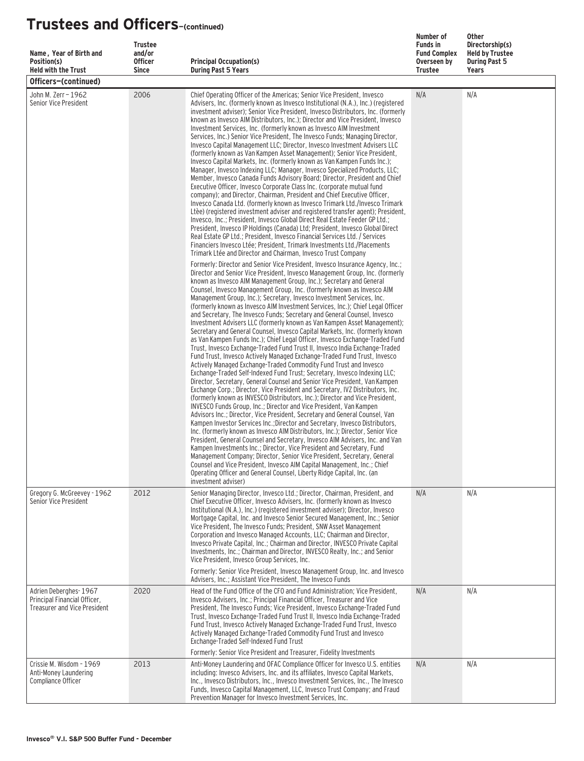| Name, Year of Birth and<br>Position(s)                                                       | <b>Trustee</b><br>and/or<br><b>Officer</b> | <b>Principal Occupation(s)</b>                                                                                                                                                                                                                                                                                                                                                                                                                                                                                                                                                                                                                                                                                                                                                                                                                                                                                                                                                                                                                                                                                                                                                                                                                                                                                                                                                                                                                                                                                                                                                                                                                                                                                                                                                                                                                                                                                                                                                                                                                                                                        | Number of<br><b>Funds in</b><br><b>Fund Complex</b><br>Overseen by<br><b>Trustee</b> | <b>Other</b><br>Directorship(s)<br><b>Held by Trustee</b><br><b>During Past 5</b><br><b>Years</b> |
|----------------------------------------------------------------------------------------------|--------------------------------------------|-------------------------------------------------------------------------------------------------------------------------------------------------------------------------------------------------------------------------------------------------------------------------------------------------------------------------------------------------------------------------------------------------------------------------------------------------------------------------------------------------------------------------------------------------------------------------------------------------------------------------------------------------------------------------------------------------------------------------------------------------------------------------------------------------------------------------------------------------------------------------------------------------------------------------------------------------------------------------------------------------------------------------------------------------------------------------------------------------------------------------------------------------------------------------------------------------------------------------------------------------------------------------------------------------------------------------------------------------------------------------------------------------------------------------------------------------------------------------------------------------------------------------------------------------------------------------------------------------------------------------------------------------------------------------------------------------------------------------------------------------------------------------------------------------------------------------------------------------------------------------------------------------------------------------------------------------------------------------------------------------------------------------------------------------------------------------------------------------------|--------------------------------------------------------------------------------------|---------------------------------------------------------------------------------------------------|
| <b>Held with the Trust</b><br>Officers-(continued)                                           | <b>Since</b>                               | <b>During Past 5 Years</b>                                                                                                                                                                                                                                                                                                                                                                                                                                                                                                                                                                                                                                                                                                                                                                                                                                                                                                                                                                                                                                                                                                                                                                                                                                                                                                                                                                                                                                                                                                                                                                                                                                                                                                                                                                                                                                                                                                                                                                                                                                                                            |                                                                                      |                                                                                                   |
| John M. Zerr - 1962<br>Senior Vice President                                                 | 2006                                       | Chief Operating Officer of the Americas; Senior Vice President, Invesco<br>Advisers, Inc. (formerly known as Invesco Institutional (N.A.), Inc.) (registered<br>investment adviser); Senior Vice President, Invesco Distributors, Inc. (formerly<br>known as Invesco AIM Distributors, Inc.); Director and Vice President, Invesco<br>Investment Services, Inc. (formerly known as Invesco AIM Investment<br>Services, Inc.) Senior Vice President, The Invesco Funds; Managing Director,<br>Invesco Capital Management LLC; Director, Invesco Investment Advisers LLC<br>(formerly known as Van Kampen Asset Management); Senior Vice President,<br>Invesco Capital Markets, Inc. (formerly known as Van Kampen Funds Inc.);<br>Manager, Invesco Indexing LLC; Manager, Invesco Specialized Products, LLC;<br>Member, Invesco Canada Funds Advisory Board; Director, President and Chief<br>Executive Officer, Invesco Corporate Class Inc. (corporate mutual fund<br>company); and Director, Chairman, President and Chief Executive Officer,<br>Invesco Canada Ltd. (formerly known as Invesco Trimark Ltd./Invesco Trimark<br>Ltèe) (registered investment adviser and registered transfer agent); President,<br>Invesco, Inc.; President, Invesco Global Direct Real Estate Feeder GP Ltd.;<br>President, Invesco IP Holdings (Canada) Ltd; President, Invesco Global Direct<br>Real Estate GP Ltd.; President, Invesco Financial Services Ltd. / Services<br>Financiers Invesco Ltée; President, Trimark Investments Ltd./Placements<br>Trimark Ltée and Director and Chairman, Invesco Trust Company                                                                                                                                                                                                                                                                                                                                                                                                                                                                                           | N/A                                                                                  | N/A                                                                                               |
|                                                                                              |                                            | Formerly: Director and Senior Vice President, Invesco Insurance Agency, Inc.;<br>Director and Senior Vice President, Invesco Management Group, Inc. (formerly<br>known as Invesco AIM Management Group, Inc.); Secretary and General<br>Counsel, Invesco Management Group, Inc. (formerly known as Invesco AIM<br>Management Group, Inc.); Secretary, Invesco Investment Services, Inc.<br>(formerly known as Invesco AIM Investment Services, Inc.); Chief Legal Officer<br>and Secretary, The Invesco Funds; Secretary and General Counsel, Invesco<br>Investment Advisers LLC (formerly known as Van Kampen Asset Management);<br>Secretary and General Counsel, Invesco Capital Markets, Inc. (formerly known<br>as Van Kampen Funds Inc.); Chief Legal Officer, Invesco Exchange-Traded Fund<br>Trust, Invesco Exchange-Traded Fund Trust II, Invesco India Exchange-Traded<br>Fund Trust, Invesco Actively Managed Exchange-Traded Fund Trust, Invesco<br>Actively Managed Exchange-Traded Commodity Fund Trust and Invesco<br>Exchange-Traded Self-Indexed Fund Trust; Secretary, Invesco Indexing LLC;<br>Director, Secretary, General Counsel and Senior Vice President, Van Kampen<br>Exchange Corp.; Director, Vice President and Secretary, IVZ Distributors, Inc.<br>(formerly known as INVESCO Distributors, Inc.); Director and Vice President,<br>INVESCO Funds Group, Inc.; Director and Vice President, Van Kampen<br>Advisors Inc.; Director, Vice President, Secretary and General Counsel, Van<br>Kampen Investor Services Inc.: Director and Secretary, Invesco Distributors,<br>Inc. (formerly known as Invesco AIM Distributors, Inc.); Director, Senior Vice<br>President, General Counsel and Secretary, Invesco AIM Advisers, Inc. and Van<br>Kampen Investments Inc.; Director, Vice President and Secretary, Fund<br>Management Company; Director, Senior Vice President, Secretary, General<br>Counsel and Vice President, Invesco AIM Capital Management, Inc.; Chief<br>Operating Officer and General Counsel, Liberty Ridge Capital, Inc. (an<br>investment adviser) |                                                                                      |                                                                                                   |
| Gregory G. McGreevey - 1962<br>Senior Vice President                                         | 2012                                       | Senior Managing Director, Invesco Ltd.; Director, Chairman, President, and<br>Chief Executive Officer, Invesco Advisers, Inc. (formerly known as Invesco<br>Institutional (N.A.), Inc.) (registered investment adviser); Director, Invesco<br>Mortgage Capital, Inc. and Invesco Senior Secured Management, Inc.; Senior<br>Vice President, The Invesco Funds; President, SNW Asset Management<br>Corporation and Invesco Managed Accounts, LLC; Chairman and Director,<br>Invesco Private Capital, Inc.; Chairman and Director, INVESCO Private Capital<br>Investments, Inc.; Chairman and Director, INVESCO Realty, Inc.; and Senior<br>Vice President, Invesco Group Services, Inc.<br>Formerly: Senior Vice President, Invesco Management Group, Inc. and Invesco                                                                                                                                                                                                                                                                                                                                                                                                                                                                                                                                                                                                                                                                                                                                                                                                                                                                                                                                                                                                                                                                                                                                                                                                                                                                                                                                 | N/A                                                                                  | N/A                                                                                               |
|                                                                                              |                                            | Advisers, Inc.; Assistant Vice President, The Invesco Funds                                                                                                                                                                                                                                                                                                                                                                                                                                                                                                                                                                                                                                                                                                                                                                                                                                                                                                                                                                                                                                                                                                                                                                                                                                                                                                                                                                                                                                                                                                                                                                                                                                                                                                                                                                                                                                                                                                                                                                                                                                           |                                                                                      |                                                                                                   |
| Adrien Deberghes-1967<br>Principal Financial Officer,<br><b>Treasurer and Vice President</b> | 2020                                       | Head of the Fund Office of the CFO and Fund Administration: Vice President.<br>Invesco Advisers, Inc.; Principal Financial Officer, Treasurer and Vice<br>President, The Invesco Funds; Vice President, Invesco Exchange-Traded Fund<br>Trust, Invesco Exchange-Traded Fund Trust II, Invesco India Exchange-Traded<br>Fund Trust, Invesco Actively Managed Exchange-Traded Fund Trust, Invesco<br>Actively Managed Exchange-Traded Commodity Fund Trust and Invesco<br>Exchange-Traded Self-Indexed Fund Trust<br>Formerly: Senior Vice President and Treasurer, Fidelity Investments                                                                                                                                                                                                                                                                                                                                                                                                                                                                                                                                                                                                                                                                                                                                                                                                                                                                                                                                                                                                                                                                                                                                                                                                                                                                                                                                                                                                                                                                                                                | N/A                                                                                  | N/A                                                                                               |
| Crissie M. Wisdom - 1969<br>Anti-Money Laundering<br>Compliance Officer                      | 2013                                       | Anti-Money Laundering and OFAC Compliance Officer for Invesco U.S. entities<br>including: Invesco Advisers, Inc. and its affiliates, Invesco Capital Markets,<br>Inc., Invesco Distributors, Inc., Invesco Investment Services, Inc., The Invesco<br>Funds, Invesco Capital Management, LLC, Invesco Trust Company; and Fraud<br>Prevention Manager for Invesco Investment Services, Inc.                                                                                                                                                                                                                                                                                                                                                                                                                                                                                                                                                                                                                                                                                                                                                                                                                                                                                                                                                                                                                                                                                                                                                                                                                                                                                                                                                                                                                                                                                                                                                                                                                                                                                                             | N/A                                                                                  | N/A                                                                                               |